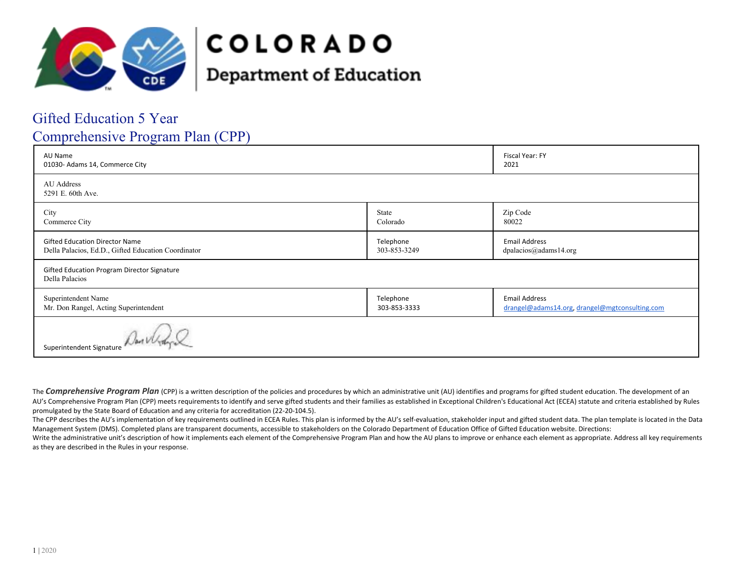

# **COLORADO**

## **Department of Education**

### Gifted Education 5 Year

### Comprehensive Program Plan (CPP)

| AU Name<br>01030- Adams 14, Commerce City                                                    |                           | Fiscal Year: FY<br>2021                                                |
|----------------------------------------------------------------------------------------------|---------------------------|------------------------------------------------------------------------|
| AU Address<br>5291 E. 60th Ave.                                                              |                           |                                                                        |
| City<br>Commerce City                                                                        | State<br>Colorado         | Zip Code<br>80022                                                      |
| <b>Gifted Education Director Name</b><br>Della Palacios, Ed.D., Gifted Education Coordinator | Telephone<br>303-853-3249 | <b>Email Address</b><br>dpalacios@adams14.org                          |
| Gifted Education Program Director Signature<br>Della Palacios                                |                           |                                                                        |
| Superintendent Name<br>Mr. Don Rangel, Acting Superintendent                                 | Telephone<br>303-853-3333 | <b>Email Address</b><br>drangel@adams14.org, drangel@mgtconsulting.com |
| Superintendent Signature                                                                     |                           |                                                                        |

The **Comprehensive Program Plan** (CPP) is a written description of the policies and procedures by which an administrative unit (AU) identifies and programs for gifted student education. The development of an AU's Comprehensive Program Plan (CPP) meets requirements to identify and serve gifted students and their families as established in Exceptional Children's Educational Act (ECEA) statute and criteria established by Rules promulgated by the State Board of Education and any criteria for accreditation (22-20-104.5).

The CPP describes the AU's implementation of key requirements outlined in ECEA Rules. This plan is informed by the AU's self-evaluation, stakeholder input and gifted student data. The plan template is located in the Data Management System (DMS). Completed plans are transparent documents, accessible to stakeholders on the Colorado Department of Education Office of Gifted Education website. Directions:

Write the administrative unit's description of how it implements each element of the Comprehensive Program Plan and how the AU plans to improve or enhance each element as appropriate. Address all key requirements as they are described in the Rules in your response.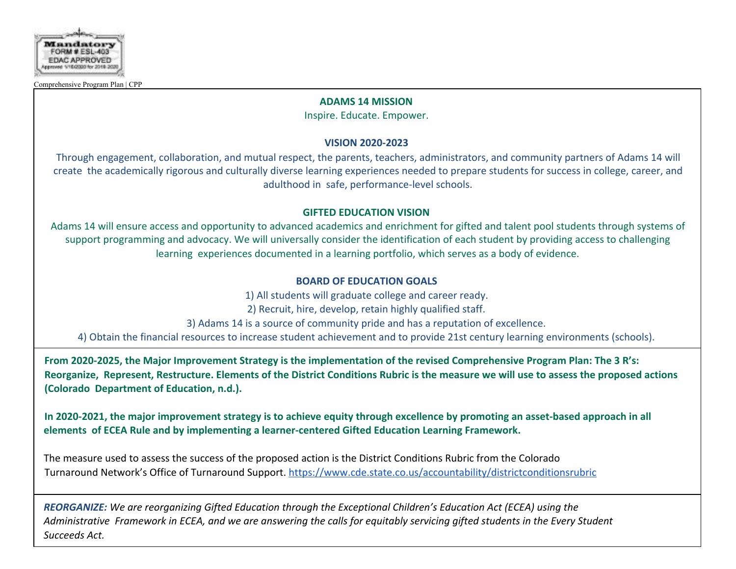

#### **ADAMS 14 MISSION**

Inspire. Educate. Empower.

#### **VISION 2020-2023**

Through engagement, collaboration, and mutual respect, the parents, teachers, administrators, and community partners of Adams 14 will create the academically rigorous and culturally diverse learning experiences needed to prepare students for success in college, career, and adulthood in safe, performance-level schools.

#### **GIFTED EDUCATION VISION**

Adams 14 will ensure access and opportunity to advanced academics and enrichment for gifted and talent pool students through systems of support programming and advocacy. We will universally consider the identification of each student by providing access to challenging learning experiences documented in a learning portfolio, which serves as a body of evidence.

#### **BOARD OF EDUCATION GOALS**

1) All students will graduate college and career ready. 2) Recruit, hire, develop, retain highly qualified staff. 3) Adams 14 is a source of community pride and has a reputation of excellence. 4) Obtain the financial resources to increase student achievement and to provide 21st century learning environments (schools).

**From 2020-2025, the Major Improvement Strategy is the implementation of the revised Comprehensive Program Plan: The 3 R's: Reorganize, Represent, Restructure. Elements of the District Conditions Rubric is the measure we will use to assess the proposed actions (Colorado Department of Education, n.d.).**

**In 2020-2021, the major improvement strategy is to achieve equity through excellence by promoting an asset-based approach in all elements of ECEA Rule and by implementing a learner-centered Gifted Education Learning Framework.**

The measure used to assess the success of the proposed action is the District Conditions Rubric from the Colorado Turnaround Network's Office of Turnaround Support. https://www.cde.state.co.us/accountability/districtconditionsrubric

*REORGANIZE: We are reorganizing Gifted Education through the Exceptional Children's Education Act (ECEA) using the Administrative Framework in ECEA, and we are answering the calls for equitably servicing gifted students in the Every Student Succeeds Act.*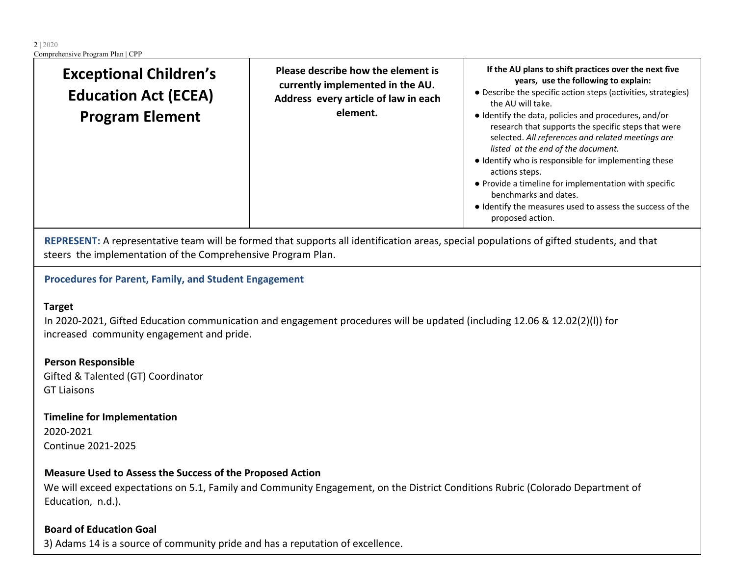| <b>Exceptional Children's</b><br><b>Education Act (ECEA)</b><br><b>Program Element</b> | Please describe how the element is<br>currently implemented in the AU.<br>Address every article of law in each<br>element. | If the AU plans to shift practices over the next five<br>years, use the following to explain:<br>• Describe the specific action steps (activities, strategies)<br>the AU will take.<br>• Identify the data, policies and procedures, and/or<br>research that supports the specific steps that were<br>selected. All references and related meetings are<br>listed at the end of the document.<br>• Identify who is responsible for implementing these<br>actions steps.<br>• Provide a timeline for implementation with specific<br>benchmarks and dates. |
|----------------------------------------------------------------------------------------|----------------------------------------------------------------------------------------------------------------------------|-----------------------------------------------------------------------------------------------------------------------------------------------------------------------------------------------------------------------------------------------------------------------------------------------------------------------------------------------------------------------------------------------------------------------------------------------------------------------------------------------------------------------------------------------------------|
|                                                                                        |                                                                                                                            | • Identify the measures used to assess the success of the<br>proposed action.                                                                                                                                                                                                                                                                                                                                                                                                                                                                             |

**REPRESENT:** A representative team will be formed that supports all identification areas, special populations of gifted students, and that steers the implementation of the Comprehensive Program Plan.

### **Procedures for Parent, Family, and Student Engagement**

#### **Target**

In 2020-2021, Gifted Education communication and engagement procedures will be updated (including 12.06 & 12.02(2)(l)) for increased community engagement and pride.

**Person Responsible** Gifted & Talented (GT) Coordinator GT Liaisons

**Timeline for Implementation** 2020-2021 Continue 2021-2025

#### **Measure Used to Assess the Success of the Proposed Action**

We will exceed expectations on 5.1, Family and Community Engagement, on the District Conditions Rubric (Colorado Department of Education, n.d.).

#### **Board of Education Goal**

3) Adams 14 is a source of community pride and has a reputation of excellence.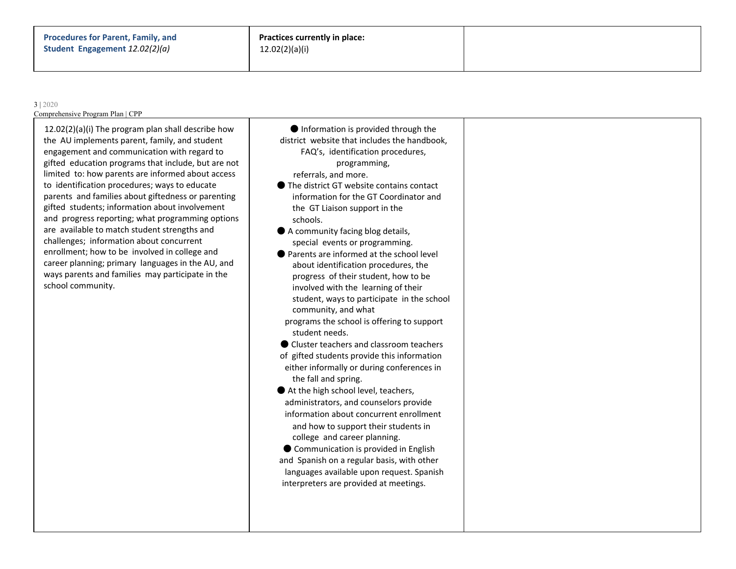#### 3 | 2020

Comprehensive Program Plan | CPP

12.02(2)(a)(i) The program plan shall describe how the AU implements parent, family, and student engagement and communication with regard to gifted education programs that include, but are not limited to: how parents are informed about access to identification procedures; ways to educate parents and families about giftedness or parenting gifted students; information about involvement and progress reporting; what programming options are available to match student strengths and challenges; information about concurrent enrollment; how to be involved in college and career planning; primary languages in the AU, and ways parents and families may participate in the school community.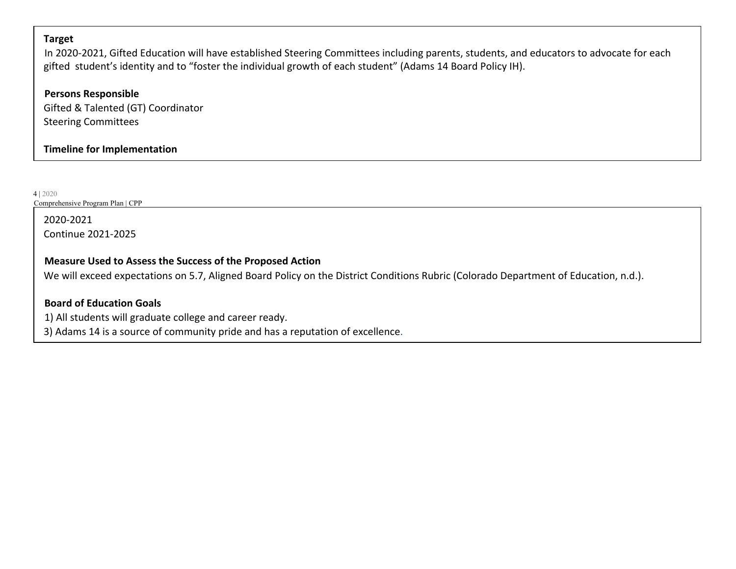#### **Target**

In 2020-2021, Gifted Education will have established Steering Committees including parents, students, and educators to advocate for each gifted student's identity and to "foster the individual growth of each student" (Adams 14 Board Policy IH).

**Persons Responsible** Gifted & Talented (GT) Coordinator Steering Committees

**Timeline for Implementation**

4 | 2020

Comprehensive Program Plan | CPP

2020-2021 Continue 2021-2025

#### **Measure Used to Assess the Success of the Proposed Action**

We will exceed expectations on 5.7, Aligned Board Policy on the District Conditions Rubric (Colorado Department of Education, n.d.).

#### **Board of Education Goals**

1) All students will graduate college and career ready.

3) Adams 14 is a source of community pride and has a reputation of excellence.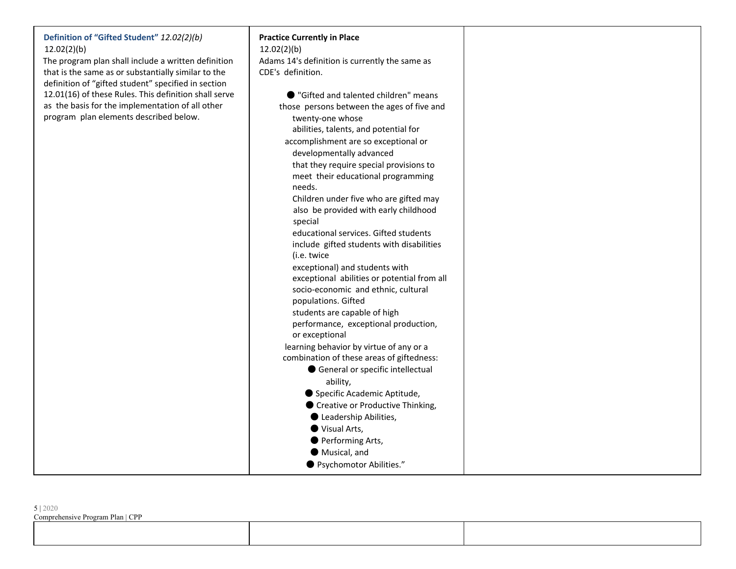| Definition of "Gifted Student" 12.02(2)(b)            | <b>Practice Currently in Place</b>             |  |
|-------------------------------------------------------|------------------------------------------------|--|
| 12.02(2)(b)                                           | 12.02(2)(b)                                    |  |
| The program plan shall include a written definition   | Adams 14's definition is currently the same as |  |
| that is the same as or substantially similar to the   | CDE's definition.                              |  |
| definition of "gifted student" specified in section   |                                                |  |
| 12.01(16) of these Rules. This definition shall serve | ● "Gifted and talented children" means         |  |
| as the basis for the implementation of all other      | those persons between the ages of five and     |  |
| program plan elements described below.                | twenty-one whose                               |  |
|                                                       | abilities, talents, and potential for          |  |
|                                                       | accomplishment are so exceptional or           |  |
|                                                       | developmentally advanced                       |  |
|                                                       | that they require special provisions to        |  |
|                                                       | meet their educational programming             |  |
|                                                       | needs.                                         |  |
|                                                       | Children under five who are gifted may         |  |
|                                                       | also be provided with early childhood          |  |
|                                                       | special                                        |  |
|                                                       | educational services. Gifted students          |  |
|                                                       | include gifted students with disabilities      |  |
|                                                       | (i.e. twice                                    |  |
|                                                       | exceptional) and students with                 |  |
|                                                       | exceptional abilities or potential from all    |  |
|                                                       | socio-economic and ethnic, cultural            |  |
|                                                       | populations. Gifted                            |  |
|                                                       | students are capable of high                   |  |
|                                                       | performance, exceptional production,           |  |
|                                                       | or exceptional                                 |  |
|                                                       | learning behavior by virtue of any or a        |  |
|                                                       | combination of these areas of giftedness:      |  |
|                                                       | General or specific intellectual               |  |
|                                                       | ability,                                       |  |
|                                                       | Specific Academic Aptitude,                    |  |
|                                                       | ● Creative or Productive Thinking,             |  |
|                                                       | Leadership Abilities,                          |  |
|                                                       | ● Visual Arts,                                 |  |
|                                                       | Performing Arts,                               |  |
|                                                       | Musical, and                                   |  |
|                                                       | ● Psychomotor Abilities."                      |  |
|                                                       |                                                |  |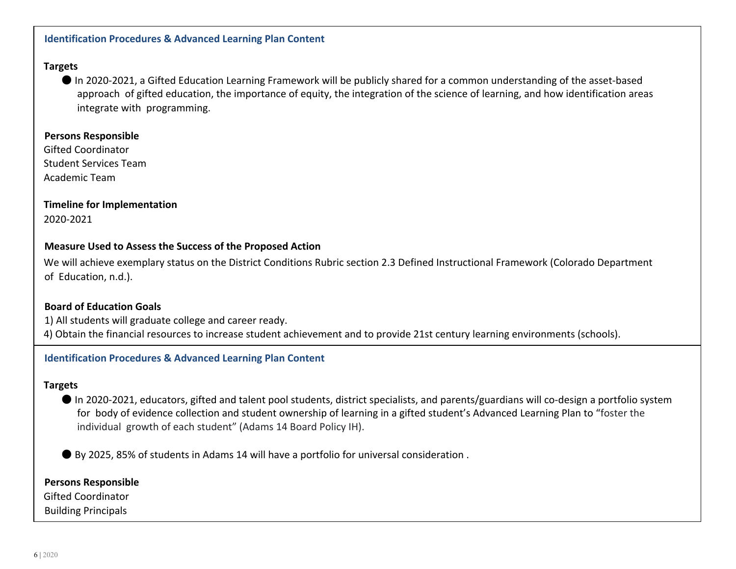#### **Identification Procedures & Advanced Learning Plan Content**

#### **Targets**

● In 2020-2021, a Gifted Education Learning Framework will be publicly shared for a common understanding of the asset-based approach of gifted education, the importance of equity, the integration of the science of learning, and how identification areas integrate with programming.

#### **Persons Responsible**

Gifted Coordinator Student Services Team Academic Team

#### **Timeline for Implementation** 2020-2021

#### **Measure Used to Assess the Success of the Proposed Action**

We will achieve exemplary status on the District Conditions Rubric section 2.3 Defined Instructional Framework (Colorado Department of Education, n.d.).

#### **Board of Education Goals**

1) All students will graduate college and career ready.

4) Obtain the financial resources to increase student achievement and to provide 21st century learning environments (schools).

#### **Identification Procedures & Advanced Learning Plan Content**

#### **Targets**

● In 2020-2021, educators, gifted and talent pool students, district specialists, and parents/guardians will co-design a portfolio system for body of evidence collection and student ownership of learning in a gifted student's Advanced Learning Plan to "foster the individual growth of each student" (Adams 14 Board Policy IH).

● By 2025, 85% of students in Adams 14 will have a portfolio for universal consideration .

#### **Persons Responsible**

Gifted Coordinator

Building Principals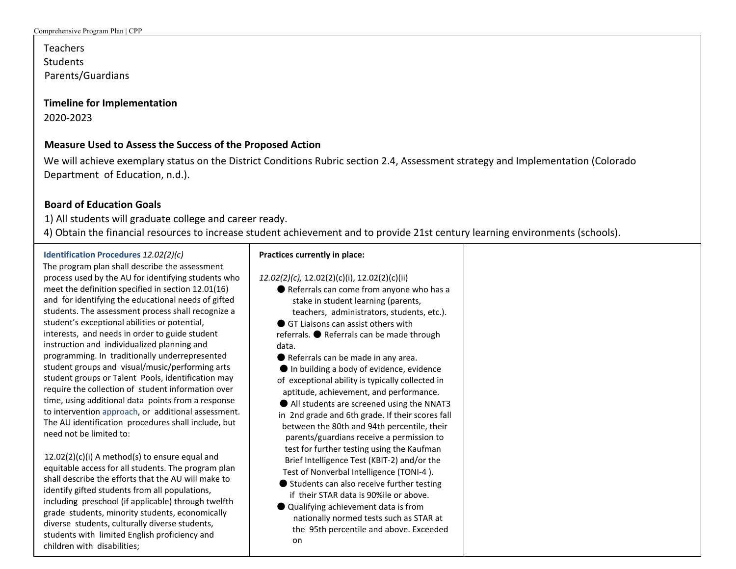Teachers **Students** Parents/Guardians

#### **Timeline for Implementation**

2020-2023

#### **Measure Used to Assess the Success of the Proposed Action**

We will achieve exemplary status on the District Conditions Rubric section 2.4, Assessment strategy and Implementation (Colorado Department of Education, n.d.).

#### **Board of Education Goals**

1) All students will graduate college and career ready.

4) Obtain the financial resources to increase student achievement and to provide 21st century learning environments (schools).

#### **Identification Procedures** *12.02(2)(c)*

The program plan shall describe the assessment process used by the AU for identifying students who meet the definition specified in section 12.01(16) and for identifying the educational needs of gifted students. The assessment process shall recognize a student's exceptional abilities or potential, interests, and needs in order to guide student instruction and individualized planning and programming. In traditionally underrepresented student groups and visual/music/performing arts student groups or Talent Pools, identification may require the collection of student information over time, using additional data points from a response to intervention approach, or additional assessment. The AU identification procedures shall include, but need not be limited to:

 $12.02(2)(c)(i)$  A method(s) to ensure equal and equitable access for all students. The program plan shall describe the efforts that the AU will make to identify gifted students from all populations, including preschool (if applicable) through twelfth grade students, minority students, economically diverse students, culturally diverse students, students with limited English proficiency and children with disabilities;

### **Practices currently in place:**

#### *12.02(2)(c),* 12.02(2)(c)(i), 12.02(2)(c)(ii)

- Referrals can come from anyone who has a stake in student learning (parents, teachers, administrators, students, etc.).
- GT Liaisons can assist others with

referrals. ● Referrals can be made through data.

● Referrals can be made in any area.

● In building a body of evidence, evidence of exceptional ability is typically collected in aptitude, achievement, and performance.

● All students are screened using the NNAT3 in 2nd grade and 6th grade. If their scores fall between the 80th and 94th percentile, their parents/guardians receive a permission to test for further testing using the Kaufman Brief Intelligence Test (KBIT-2) and/or the Test of Nonverbal Intelligence (TONI-4 ).

- Students can also receive further testing if their STAR data is 90%ile or above.
- Qualifying achievement data is from nationally normed tests such as STAR at the 95th percentile and above. Exceeded on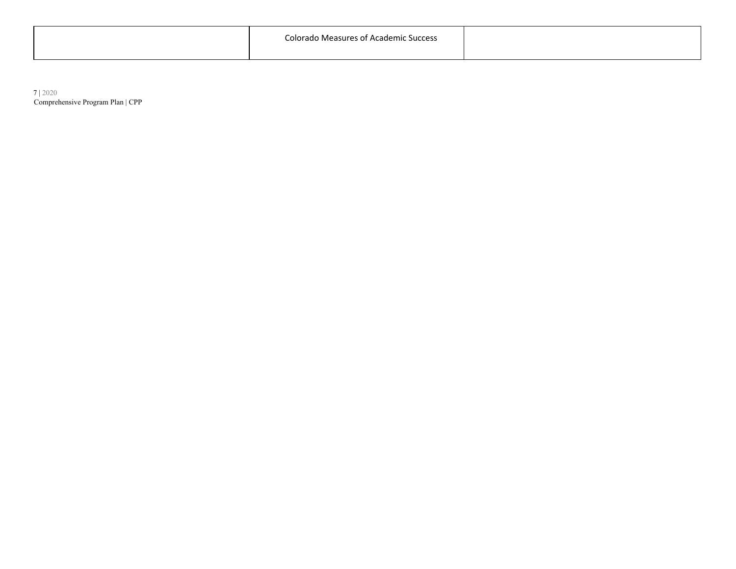|  | Colorado<br><i>l</i> leasure<br>coc.<br>۰mır<br>. |  |
|--|---------------------------------------------------|--|
|--|---------------------------------------------------|--|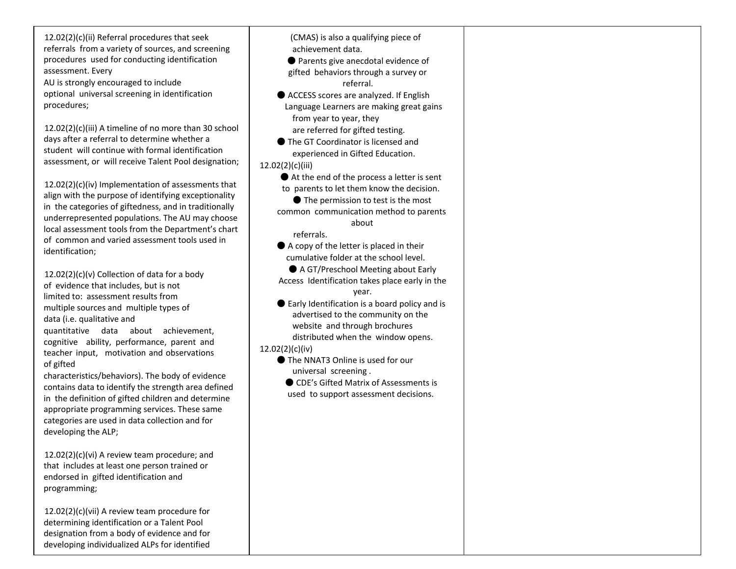12.02(2)(c)(ii) Referral procedures that seek referrals from a variety of sources, and screening procedures used for conducting identification assessment. Every AU is strongly encouraged to include

optional universal screening in identification procedures;

12.02(2)(c)(iii) A timeline of no more than 30 school days after a referral to determine whether a student will continue with formal identification assessment, or will receive Talent Pool designation;

12.02(2)(c)(iv) Implementation of assessments that align with the purpose of identifying exceptionality in the categories of giftedness, and in traditionally underrepresented populations. The AU may choose local assessment tools from the Department's chart of common and varied assessment tools used in identification;

 $12.02(2)(c)(v)$  Collection of data for a body of evidence that includes, but is not limited to: assessment results from multiple sources and multiple types of data (i.e. qualitative and

quantitative data about achievement, cognitive ability, performance, parent and teacher input, motivation and observations of gifted

characteristics/behaviors). The body of evidence contains data to identify the strength area defined in the definition of gifted children and determine appropriate programming services. These same categories are used in data collection and for developing the ALP;

12.02(2)(c)(vi) A review team procedure; and that includes at least one person trained or endorsed in gifted identification and programming;

12.02(2)(c)(vii) A review team procedure for determining identification or a Talent Pool designation from a body of evidence and for developing individualized ALPs for identified

(CMAS) is also a qualifying piece of achievement data.

● Parents give anecdotal evidence of gifted behaviors through a survey or referral.

● ACCESS scores are analyzed. If English Language Learners are making great gains from year to year, they are referred for gifted testing.

- The GT Coordinator is licensed and experienced in Gifted Education.
- 12.02(2)(c)(iii)
	- $\bullet$  At the end of the process a letter is sent to parents to let them know the decision.
		- The permission to test is the most
	- common communication method to parents about

referrals.

- A copy of the letter is placed in their cumulative folder at the school level.
- A GT/Preschool Meeting about Early Access Identification takes place early in the year.
- Early Identification is a board policy and is advertised to the community on the website and through brochures distributed when the window opens.
- 12.02(2)(c)(iv)
	- The NNAT3 Online is used for our universal screening .
		- CDE's Gifted Matrix of Assessments is used to support assessment decisions.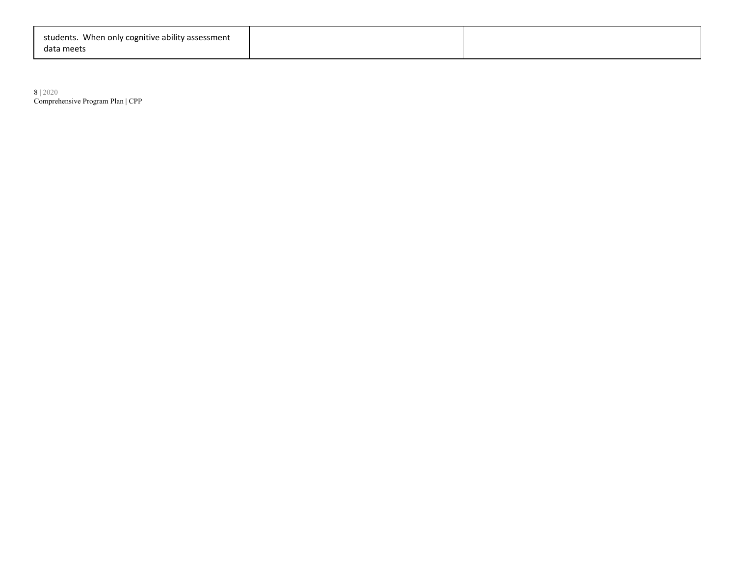| students. When only cognitive ability assessment |  |
|--------------------------------------------------|--|
| data meets                                       |  |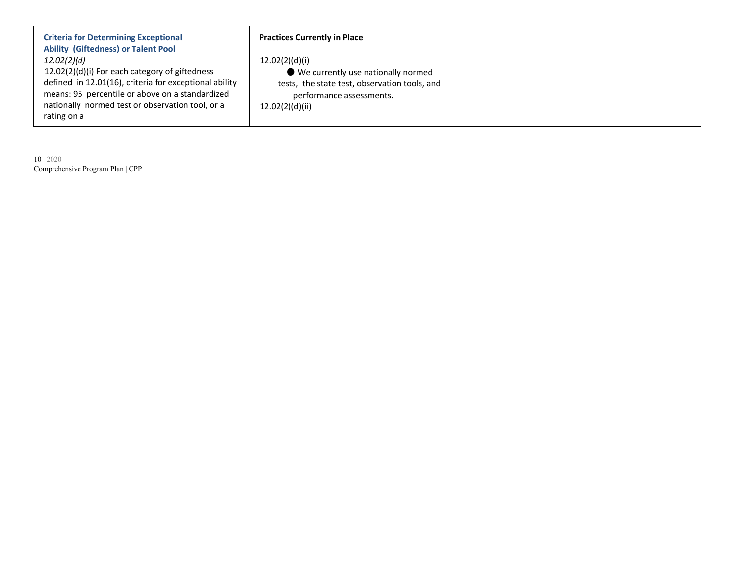| <b>Criteria for Determining Exceptional</b><br><b>Ability (Giftedness) or Talent Pool</b>                                                                                                                                                     |
|-----------------------------------------------------------------------------------------------------------------------------------------------------------------------------------------------------------------------------------------------|
| 12.02(2)(d)<br>12.02(2)(d)(i) For each category of giftedness<br>defined in 12.01(16), criteria for exceptional ability<br>means: 95 percentile or above on a standardized<br>nationally normed test or observation tool, or a<br>rating on a |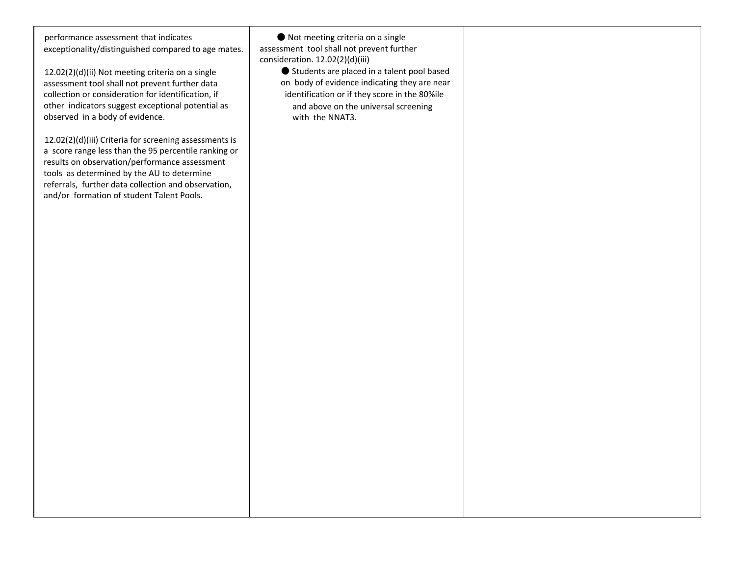performance assessment that indicates exceptionality/distinguished compared to age mates.

12.02(2)(d)(ii) Not meeting criteria on a single assessment tool shall not prevent further data collection or consideration for identification, if other indicators suggest exceptional potential as observed in a body of evidence.

12.02(2)(d)(iii) Criteria for screening assessments is a score range less than the 95 percentile ranking or results on observation/performance assessment tools as determined by the AU to determine referrals, further data collection and observation, and/or formation of student Talent Pools.

● Not meeting criteria on a single assessment tool shall not prevent further consideration. 12.02(2)(d)(iii)

● Students are placed in a talent pool based on body of evidence indicating they are near identification or if they score in the 80%ile and above on the universal screening with the NNAT3.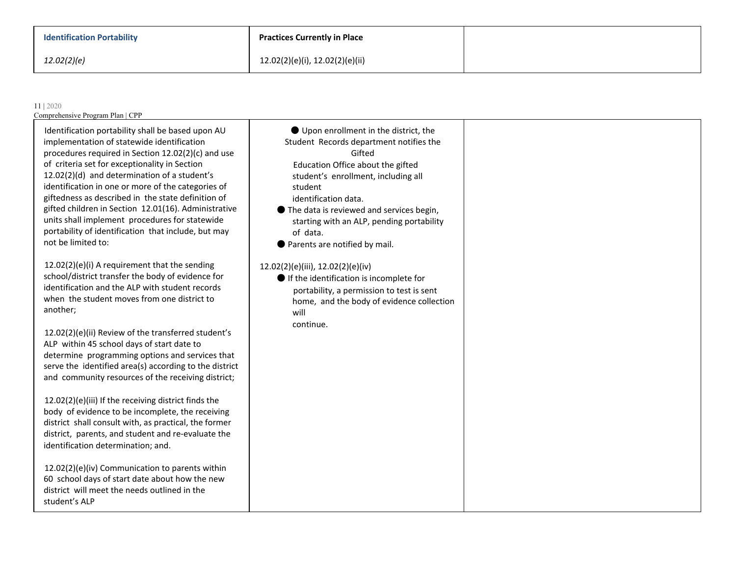| <b>Identification Portability</b> |  |
|-----------------------------------|--|
|-----------------------------------|--|

| ● Upon enrollment in the district, the<br>Identification portability shall be based upon AU<br>implementation of statewide identification<br>Student Records department notifies the<br>procedures required in Section 12.02(2)(c) and use<br>Gifted<br>of criteria set for exceptionality in Section<br>Education Office about the gifted<br>12.02(2)(d) and determination of a student's<br>student's enrollment, including all<br>identification in one or more of the categories of<br>student<br>giftedness as described in the state definition of<br>identification data.<br>gifted children in Section 12.01(16). Administrative<br>● The data is reviewed and services begin,                                                                                                                                                                                                                                                                                                                                                                                                                                                                                                                                                                                                                  | 11   2020<br>Comprehensive Program Plan   CPP  |  |
|---------------------------------------------------------------------------------------------------------------------------------------------------------------------------------------------------------------------------------------------------------------------------------------------------------------------------------------------------------------------------------------------------------------------------------------------------------------------------------------------------------------------------------------------------------------------------------------------------------------------------------------------------------------------------------------------------------------------------------------------------------------------------------------------------------------------------------------------------------------------------------------------------------------------------------------------------------------------------------------------------------------------------------------------------------------------------------------------------------------------------------------------------------------------------------------------------------------------------------------------------------------------------------------------------------|------------------------------------------------|--|
| starting with an ALP, pending portability<br>portability of identification that include, but may<br>of data.<br>not be limited to:<br>● Parents are notified by mail.<br>12.02(2)(e)(i) A requirement that the sending<br>12.02(2)(e)(iii), 12.02(2)(e)(iv)<br>school/district transfer the body of evidence for<br>If the identification is incomplete for<br>identification and the ALP with student records<br>portability, a permission to test is sent<br>when the student moves from one district to<br>home, and the body of evidence collection<br>another;<br>will<br>continue.<br>12.02(2)(e)(ii) Review of the transferred student's<br>ALP within 45 school days of start date to<br>determine programming options and services that<br>serve the identified area(s) according to the district<br>and community resources of the receiving district;<br>12.02(2)(e)(iii) If the receiving district finds the<br>body of evidence to be incomplete, the receiving<br>district shall consult with, as practical, the former<br>district, parents, and student and re-evaluate the<br>identification determination; and.<br>12.02(2)(e)(iv) Communication to parents within<br>60 school days of start date about how the new<br>district will meet the needs outlined in the<br>student's ALP | units shall implement procedures for statewide |  |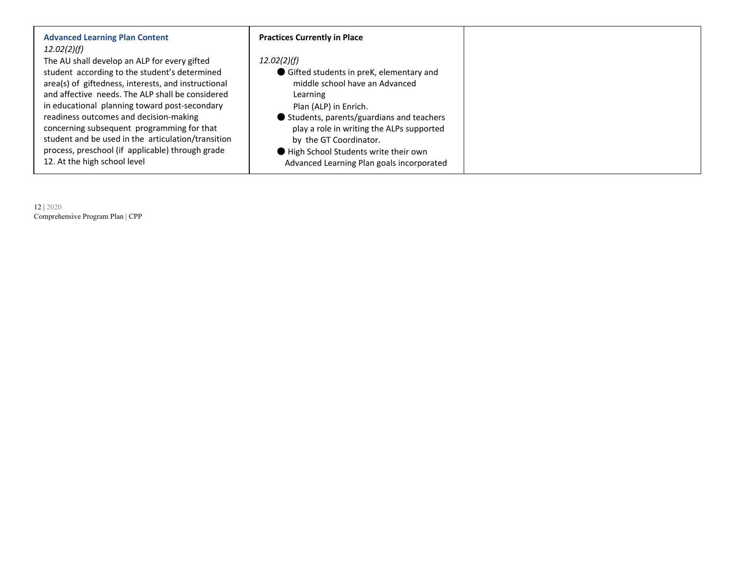| <b>Advanced Learning Plan Content</b>                                                                                                                                                                                                                                                                                                                            | <b>Practices Currently in Place</b>                                                                                                                                                                                    |
|------------------------------------------------------------------------------------------------------------------------------------------------------------------------------------------------------------------------------------------------------------------------------------------------------------------------------------------------------------------|------------------------------------------------------------------------------------------------------------------------------------------------------------------------------------------------------------------------|
| 12.02(2)(f)<br>The AU shall develop an ALP for every gifted<br>student according to the student's determined<br>area(s) of giftedness, interests, and instructional<br>and affective needs. The ALP shall be considered<br>in educational planning toward post-secondary<br>readiness outcomes and decision-making<br>concerning subsequent programming for that | 12.02(2)(f)<br>Gifted students in preK, elementary and<br>middle school have an Advanced<br>Learning<br>Plan (ALP) in Enrich.<br>Students, parents/guardians and teachers<br>play a role in writing the ALPs supported |
| student and be used in the articulation/transition<br>process, preschool (if applicable) through grade<br>12. At the high school level                                                                                                                                                                                                                           | by the GT Coordinator.<br>● High School Students write their own<br>Advanced Learning Plan goals incorporated                                                                                                          |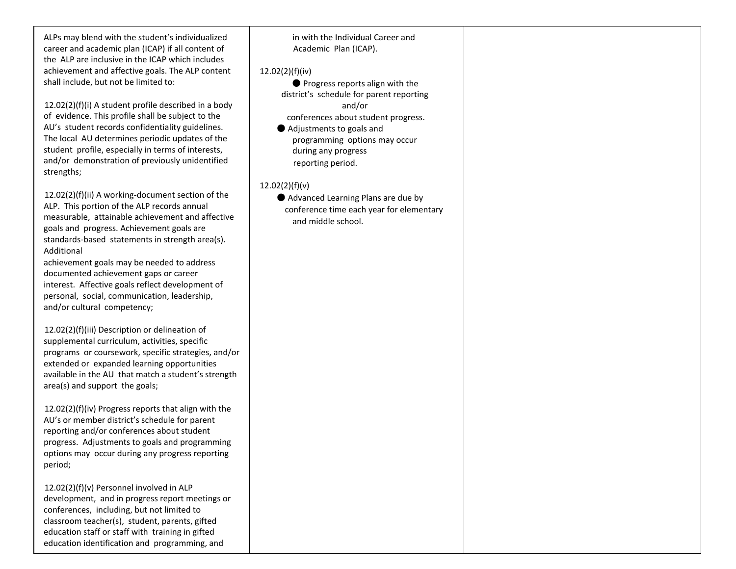ALPs may blend with the student's individualized career and academic plan (ICAP) if all content of the ALP are inclusive in the ICAP which includes achievement and affective goals. The ALP content shall include, but not be limited to:

12.02(2)(f)(i) A student profile described in a body of evidence. This profile shall be subject to the AU's student records confidentiality guidelines. The local AU determines periodic updates of the student profile, especially in terms of interests, and/or demonstration of previously unidentified strengths;

12.02(2)(f)(ii) A working-document section of the ALP. This portion of the ALP records annual measurable, attainable achievement and affective goals and progress. Achievement goals are standards-based statements in strength area(s). Additional

achievement goals may be needed to address documented achievement gaps or career interest. Affective goals reflect development of personal, social, communication, leadership, and/or cultural competency;

12.02(2)(f)(iii) Description or delineation of supplemental curriculum, activities, specific programs or coursework, specific strategies, and/or extended or expanded learning opportunities available in the AU that match a student's strength area(s) and support the goals;

12.02(2)(f)(iv) Progress reports that align with the AU's or member district's schedule for parent reporting and/or conferences about student progress. Adjustments to goals and programming options may occur during any progress reporting period;

12.02(2)(f)(v) Personnel involved in ALP development, and in progress report meetings or conferences, including, but not limited to classroom teacher(s), student, parents, gifted education staff or staff with training in gifted education identification and programming, and

in with the Individual Career and Academic Plan (ICAP).

12.02(2)(f)(iv)

● Progress reports align with the district's schedule for parent reporting and/or conferences about student progress.

● Adjustments to goals and programming options may occur during any progress reporting period.

12.02(2)(f)(v)

● Advanced Learning Plans are due by conference time each year for elementary and middle school.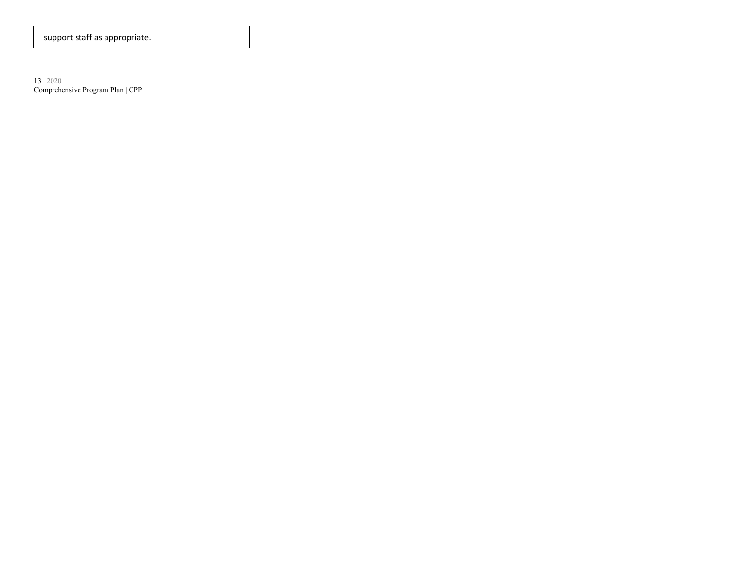| support<br>rt staff as appropriate. |  |
|-------------------------------------|--|
|-------------------------------------|--|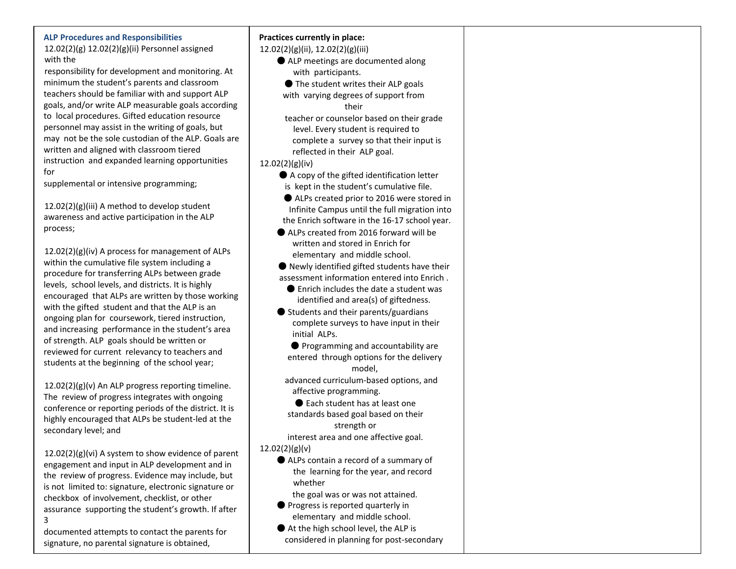#### **ALP Procedures and Responsibilities**

12.02(2)(g) 12.02(2)(g)(ii) Personnel assigned with the

responsibility for development and monitoring. At minimum the student's parents and classroom teachers should be familiar with and support ALP goals, and/or write ALP measurable goals according to local procedures. Gifted education resource personnel may assist in the writing of goals, but may not be the sole custodian of the ALP. Goals are written and aligned with classroom tiered instruction and expanded learning opportunities for

supplemental or intensive programming;

12.02(2)(g)(iii) A method to develop student awareness and active participation in the ALP process;

12.02(2)(g)(iv) A process for management of ALPs within the cumulative file system including a procedure for transferring ALPs between grade levels, school levels, and districts. It is highly encouraged that ALPs are written by those working with the gifted student and that the ALP is an ongoing plan for coursework, tiered instruction, and increasing performance in the student's area of strength. ALP goals should be written or reviewed for current relevancy to teachers and students at the beginning of the school year;

12.02(2)(g)(v) An ALP progress reporting timeline. The review of progress integrates with ongoing conference or reporting periods of the district. It is highly encouraged that ALPs be student-led at the secondary level; and

12.02(2)(g)(vi) A system to show evidence of parent engagement and input in ALP development and in the review of progress. Evidence may include, but is not limited to: signature, electronic signature or checkbox of involvement, checklist, or other assurance supporting the student's growth. If after 3

documented attempts to contact the parents for signature, no parental signature is obtained,

#### **Practices currently in place:**

12.02(2)(g)(ii), 12.02(2)(g)(iii)

- ALP meetings are documented along with participants.
	- The student writes their ALP goals
- with varying degrees of support from their

teacher or counselor based on their grade level. Every student is required to complete a survey so that their input is reflected in their ALP goal.

#### 12.02(2)(g)(iv)

- A copy of the gifted identification letter is kept in the student's cumulative file.
- ALPs created prior to 2016 were stored in Infinite Campus until the full migration into the Enrich software in the 16-17 school year.
- ALPs created from 2016 forward will be written and stored in Enrich for elementary and middle school.

 $\bullet$  Newly identified gifted students have their assessment information entered into Enrich .

- Enrich includes the date a student was identified and area(s) of giftedness.
- $\bullet$  Students and their parents/guardians complete surveys to have input in their initial ALPs.

● Programming and accountability are entered through options for the delivery model,

advanced curriculum-based options, and affective programming.

● Each student has at least one standards based goal based on their strength or

interest area and one affective goal. 12.02(2)(g)(v)

> ● ALPs contain a record of a summary of the learning for the year, and record whether

the goal was or was not attained.

- Progress is reported quarterly in elementary and middle school.
- At the high school level, the ALP is considered in planning for post-secondary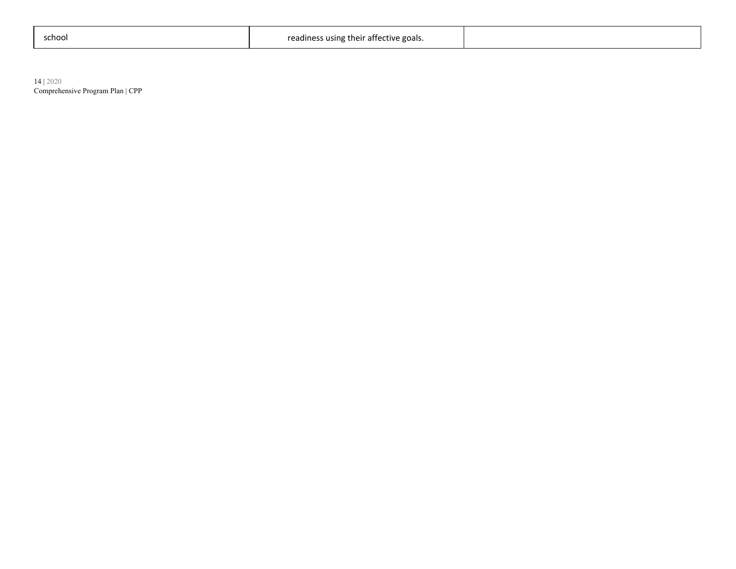| :chool |
|--------|
|--------|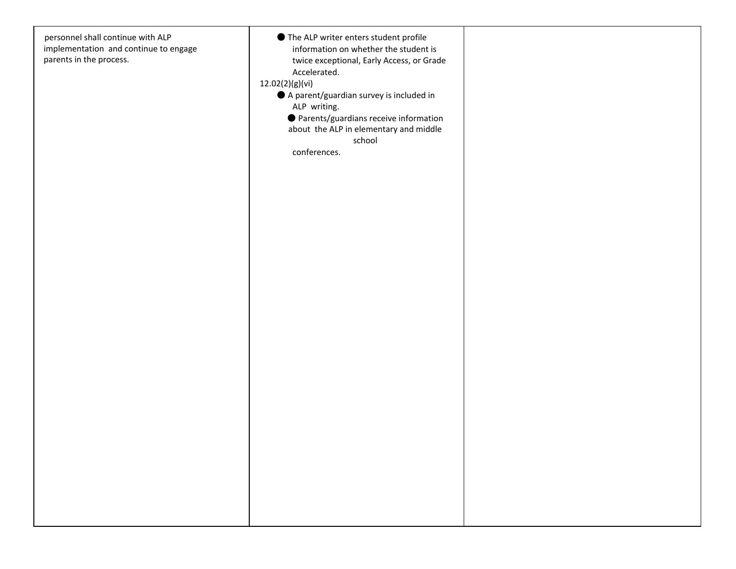| personnel shall continue with ALP<br>implementation and continue to engage<br>parents in the process. | ● The ALP writer enters student profile<br>information on whether the student is<br>twice exceptional, Early Access, or Grade<br>Accelerated.<br>12.02(2)(g)(vi)<br>A parent/guardian survey is included in<br>ALP writing.<br>● Parents/guardians receive information<br>about the ALP in elementary and middle<br>school<br>conferences. |  |
|-------------------------------------------------------------------------------------------------------|--------------------------------------------------------------------------------------------------------------------------------------------------------------------------------------------------------------------------------------------------------------------------------------------------------------------------------------------|--|
|                                                                                                       |                                                                                                                                                                                                                                                                                                                                            |  |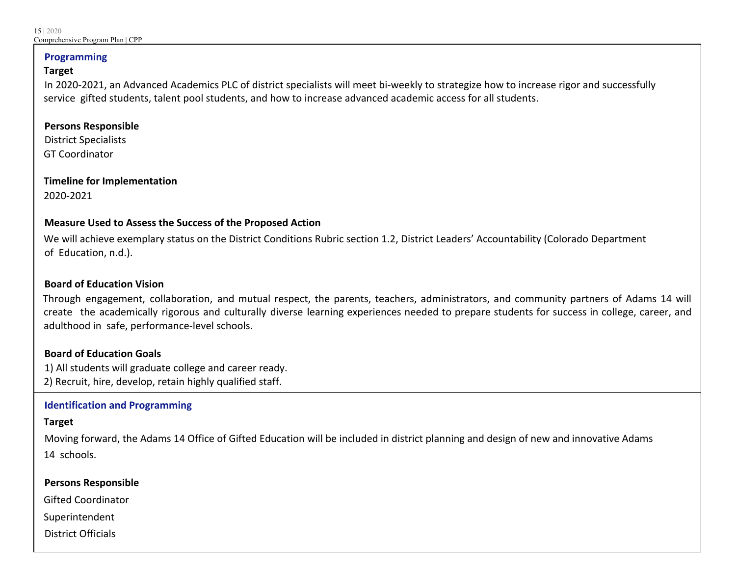#### **Programming**

#### **Target**

In 2020-2021, an Advanced Academics PLC of district specialists will meet bi-weekly to strategize how to increase rigor and successfully service gifted students, talent pool students, and how to increase advanced academic access for all students.

#### **Persons Responsible**

District Specialists GT Coordinator

**Timeline for Implementation** 2020-2021

#### **Measure Used to Assess the Success of the Proposed Action**

We will achieve exemplary status on the District Conditions Rubric section 1.2, District Leaders' Accountability (Colorado Department of Education, n.d.).

#### **Board of Education Vision**

Through engagement, collaboration, and mutual respect, the parents, teachers, administrators, and community partners of Adams 14 will create the academically rigorous and culturally diverse learning experiences needed to prepare students for success in college, career, and adulthood in safe, performance-level schools.

#### **Board of Education Goals**

1) All students will graduate college and career ready. 2) Recruit, hire, develop, retain highly qualified staff.

#### **Identification and Programming**

#### **Target**

Moving forward, the Adams 14 Office of Gifted Education will be included in district planning and design of new and innovative Adams 14 schools.

#### **Persons Responsible**

Gifted Coordinator

Superintendent

District Officials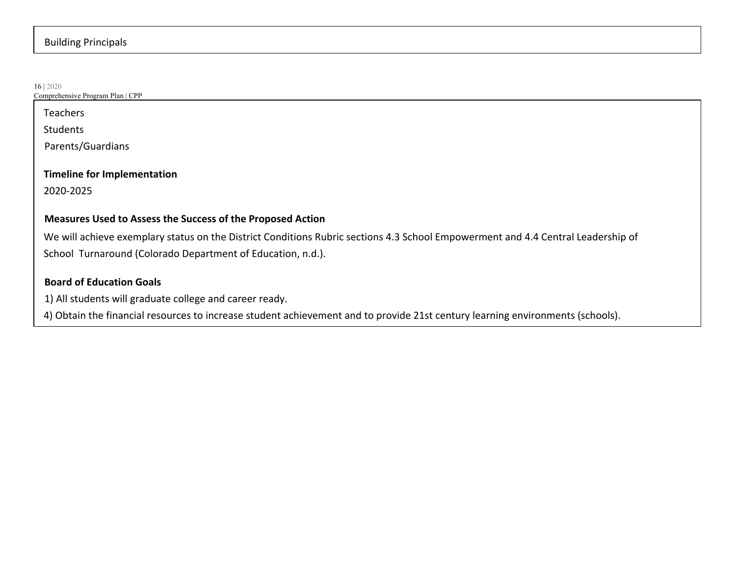#### Building Principals

16 | 2020 Comprehensive Program Plan | CPP Teachers Students Parents/Guardians **Timeline for Implementation** 2020-2025 **Measures Used to Assess the Success of the Proposed Action** We will achieve exemplary status on the District Conditions Rubric sections 4.3 School Empowerment and 4.4 Central Leadership of School Turnaround (Colorado Department of Education, n.d.). **Board of Education Goals** 1) All students will graduate college and career ready.

4) Obtain the financial resources to increase student achievement and to provide 21st century learning environments (schools).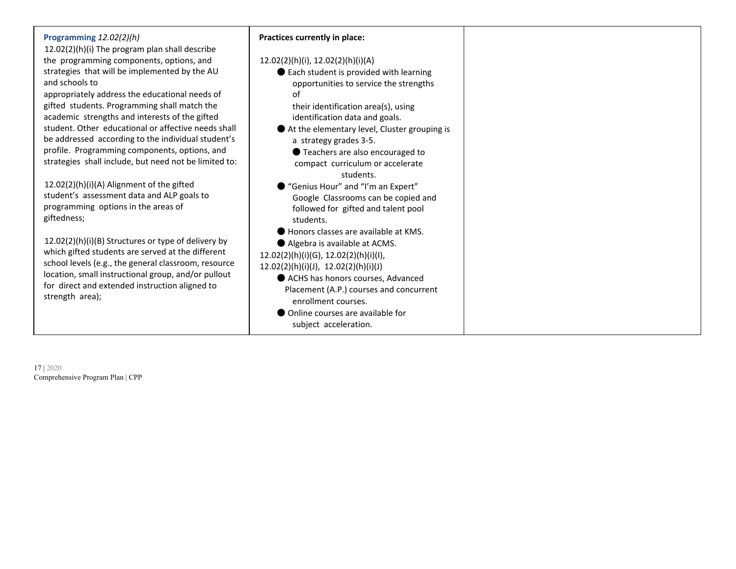| Programming 12.02(2)(h)<br>12.02(2)(h)(i) The program plan shall describe               | Practices currently in place:                    |
|-----------------------------------------------------------------------------------------|--------------------------------------------------|
| the programming components, options, and                                                | $12.02(2)(h)(i)$ , $12.02(2)(h)(i)(A)$           |
| strategies that will be implemented by the AU                                           | ● Each student is provided with learning         |
| and schools to                                                                          | opportunities to service the strengths           |
| appropriately address the educational needs of                                          | of                                               |
| gifted students. Programming shall match the                                            | their identification area(s), using              |
| academic strengths and interests of the gifted                                          | identification data and goals.                   |
| student. Other educational or affective needs shall                                     | At the elementary level, Cluster grouping is     |
| be addressed according to the individual student's                                      | a strategy grades 3-5.                           |
| profile. Programming components, options, and                                           | ● Teachers are also encouraged to                |
| strategies shall include, but need not be limited to:                                   | compact curriculum or accelerate                 |
|                                                                                         | students.                                        |
| 12.02(2)(h)(i)(A) Alignment of the gifted<br>student's assessment data and ALP goals to | ● "Genius Hour" and "I'm an Expert"              |
| programming options in the areas of                                                     | Google Classrooms can be copied and              |
| giftedness;                                                                             | followed for gifted and talent pool<br>students. |
|                                                                                         | Honors classes are available at KMS.             |
| 12.02(2)(h)(i)(B) Structures or type of delivery by                                     | Algebra is available at ACMS.                    |
| which gifted students are served at the different                                       | 12.02(2)(h)(i)(G), 12.02(2)(h)(i)(l),            |
| school levels (e.g., the general classroom, resource                                    | 12.02(2)(h)(i)(J), 12.02(2)(h)(i)(J)             |
| location, small instructional group, and/or pullout                                     | ACHS has honors courses, Advanced                |
| for direct and extended instruction aligned to                                          | Placement (A.P.) courses and concurrent          |
| strength area);                                                                         | enrollment courses.                              |
|                                                                                         | • Online courses are available for               |
|                                                                                         | subject acceleration.                            |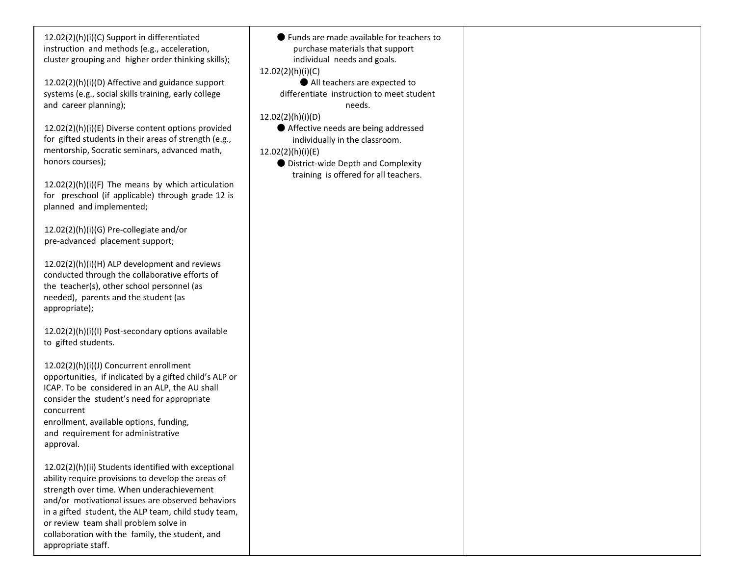12.02(2)(h)(i)(C) Support in differentiated instruction and methods (e.g., acceleration, cluster grouping and higher order thinking skills);

12.02(2)(h)(i)(D) Affective and guidance support systems (e.g., social skills training, early college and career planning);

12.02(2)(h)(i)(E) Diverse content options provided for gifted students in their areas of strength (e.g., mentorship, Socratic seminars, advanced math, honors courses);

 $12.02(2)(h)(i)(F)$  The means by which articulation for preschool (if applicable) through grade 12 is planned and implemented;

12.02(2)(h)(i)(G) Pre-collegiate and/or pre-advanced placement support;

12.02(2)(h)(i)(H) ALP development and reviews conducted through the collaborative efforts of the teacher(s), other school personnel (as needed), parents and the student (as appropriate);

12.02(2)(h)(i)(I) Post-secondary options available to gifted students.

12.02(2)(h)(i)(J) Concurrent enrollment opportunities, if indicated by a gifted child's ALP or ICAP. To be considered in an ALP, the AU shall consider the student's need for appropriate concurrent enrollment, available options, funding,

and requirement for administrative approval.

12.02(2)(h)(ii) Students identified with exceptional ability require provisions to develop the areas of strength over time. When underachievement and/or motivational issues are observed behaviors in a gifted student, the ALP team, child study team, or review team shall problem solve in collaboration with the family, the student, and appropriate staff.

● Funds are made available for teachers to purchase materials that support individual needs and goals. 12.02(2)(h)(i)(C) ● All teachers are expected to differentiate instruction to meet student needs. 12.02(2)(h)(i)(D) ● Affective needs are being addressed individually in the classroom. 12.02(2)(h)(i)(E) ● District-wide Depth and Complexity training is offered for all teachers.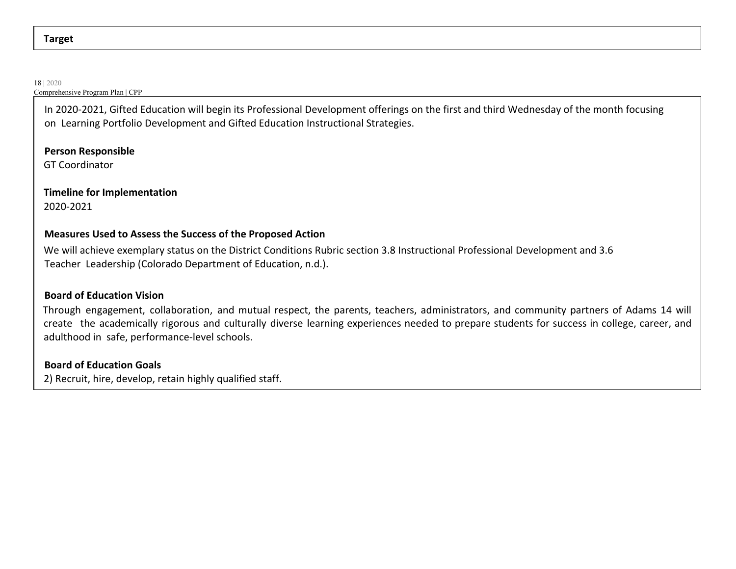#### **Target**

#### 18 | 2020

#### Comprehensive Program Plan | CPP

In 2020-2021, Gifted Education will begin its Professional Development offerings on the first and third Wednesday of the month focusing on Learning Portfolio Development and Gifted Education Instructional Strategies.

#### **Person Responsible**

GT Coordinator

### **Timeline for Implementation**

2020-2021

#### **Measures Used to Assess the Success of the Proposed Action**

We will achieve exemplary status on the District Conditions Rubric section 3.8 Instructional Professional Development and 3.6 Teacher Leadership (Colorado Department of Education, n.d.).

#### **Board of Education Vision**

Through engagement, collaboration, and mutual respect, the parents, teachers, administrators, and community partners of Adams 14 will create the academically rigorous and culturally diverse learning experiences needed to prepare students for success in college, career, and adulthood in safe, performance-level schools.

#### **Board of Education Goals**

2) Recruit, hire, develop, retain highly qualified staff.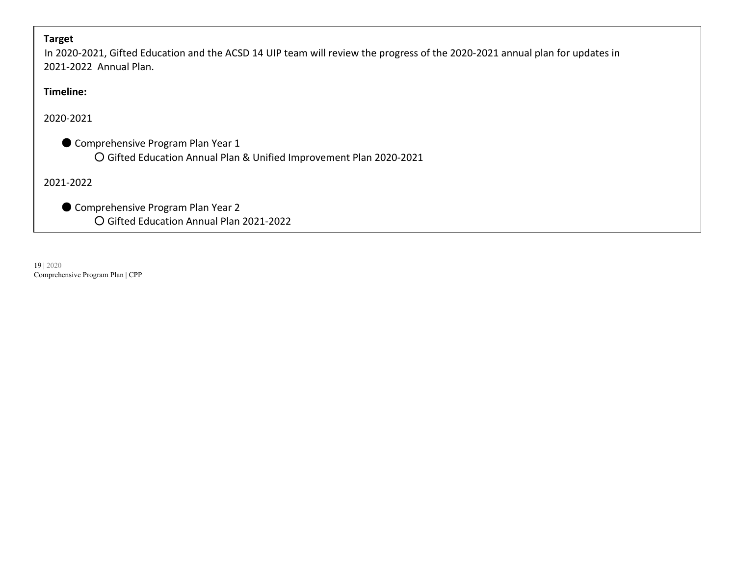#### **Target**

In 2020-2021, Gifted Education and the ACSD 14 UIP team will review the progress of the 2020-2021 annual plan for updates in 2021-2022 Annual Plan.

### **Timeline:**

#### 2020-2021

● Comprehensive Program Plan Year 1 ○ Gifted Education Annual Plan & Unified Improvement Plan 2020-2021

2021-2022

● Comprehensive Program Plan Year 2 ○ Gifted Education Annual Plan 2021-2022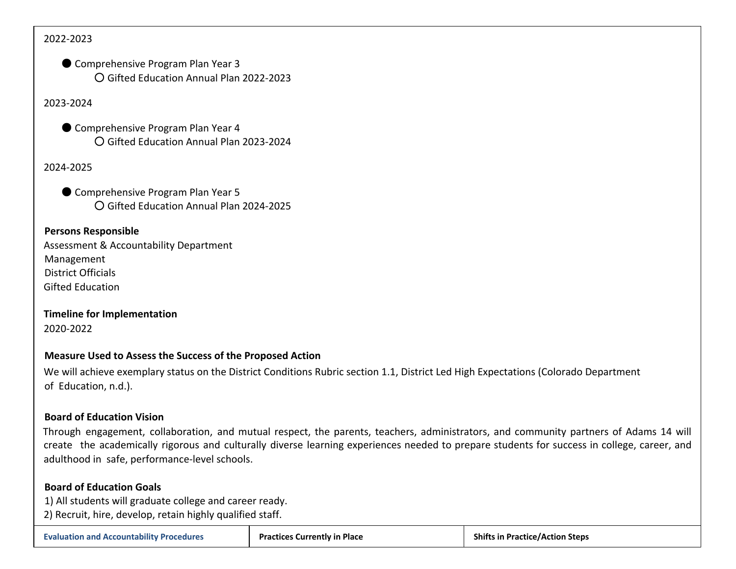#### 2022-2023

● Comprehensive Program Plan Year 3 ○ Gifted Education Annual Plan 2022-2023

2023-2024

● Comprehensive Program Plan Year 4 ○ Gifted Education Annual Plan 2023-2024

#### 2024-2025

● Comprehensive Program Plan Year 5 ○ Gifted Education Annual Plan 2024-2025

#### **Persons Responsible**

Assessment & Accountability Department Management District Officials Gifted Education

**Timeline for Implementation** 2020-2022

#### **Measure Used to Assess the Success of the Proposed Action**

We will achieve exemplary status on the District Conditions Rubric section 1.1, District Led High Expectations (Colorado Department of Education, n.d.).

#### **Board of Education Vision**

Through engagement, collaboration, and mutual respect, the parents, teachers, administrators, and community partners of Adams 14 will create the academically rigorous and culturally diverse learning experiences needed to prepare students for success in college, career, and adulthood in safe, performance-level schools.

#### **Board of Education Goals**

1) All students will graduate college and career ready.

2) Recruit, hire, develop, retain highly qualified staff.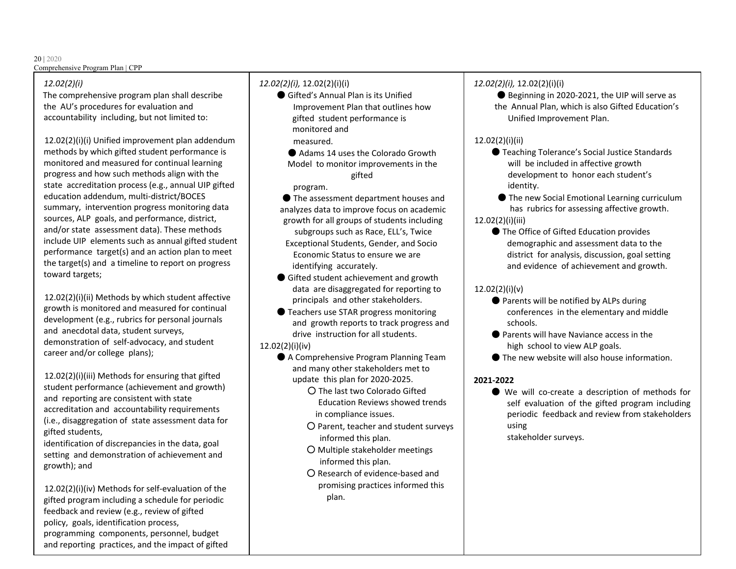#### *12.02(2)(i)*

The comprehensive program plan shall describe the AU's procedures for evaluation and accountability including, but not limited to:

12.02(2)(i)(i) Unified improvement plan addendum methods by which gifted student performance is monitored and measured for continual learning progress and how such methods align with the state accreditation process (e.g., annual UIP gifted education addendum, multi-district/BOCES summary, intervention progress monitoring data sources, ALP goals, and performance, district, and/or state assessment data). These methods include UIP elements such as annual gifted student performance target(s) and an action plan to meet the target(s) and a timeline to report on progress toward targets;

12.02(2)(i)(ii) Methods by which student affective growth is monitored and measured for continual development (e.g., rubrics for personal journals and anecdotal data, student surveys, demonstration of self-advocacy, and student career and/or college plans);

12.02(2)(i)(iii) Methods for ensuring that gifted student performance (achievement and growth) and reporting are consistent with state accreditation and accountability requirements (i.e., disaggregation of state assessment data for gifted students,

identification of discrepancies in the data, goal setting and demonstration of achievement and growth); and

12.02(2)(i)(iv) Methods for self-evaluation of the gifted program including a schedule for periodic feedback and review (e.g., review of gifted policy, goals, identification process, programming components, personnel, budget and reporting practices, and the impact of gifted

#### *12.02(2)(i),* 12.02(2)(i)(i)

- Gifted's Annual Plan is its Unified Improvement Plan that outlines how gifted student performance is monitored and
	- measured.
	- Adams 14 uses the Colorado Growth Model to monitor improvements in the gifted
	- program.
- The assessment department houses and analyzes data to improve focus on academic growth for all groups of students including subgroups such as Race, ELL's, Twice Exceptional Students, Gender, and Socio Economic Status to ensure we are identifying accurately.
- Gifted student achievement and growth data are disaggregated for reporting to principals and other stakeholders.
- Teachers use STAR progress monitoring and growth reports to track progress and drive instruction for all students.
- 12.02(2)(i)(iv)
	- A Comprehensive Program Planning Team and many other stakeholders met to update this plan for 2020-2025.
		- The last two Colorado Gifted Education Reviews showed trends in compliance issues.
		- Parent, teacher and student surveys informed this plan.
		- Multiple stakeholder meetings informed this plan.
		- Research of evidence-based and promising practices informed this plan.

#### *12.02(2)(i),* 12.02(2)(i)(i)

● Beginning in 2020-2021, the UIP will serve as the Annual Plan, which is also Gifted Education's Unified Improvement Plan.

#### 12.02(2)(i)(ii)

- Teaching Tolerance's Social Justice Standards will be included in affective growth development to honor each student's identity.
- The new Social Emotional Learning curriculum has rubrics for assessing affective growth.

#### 12.02(2)(i)(iii)

● The Office of Gifted Education provides demographic and assessment data to the district for analysis, discussion, goal setting and evidence of achievement and growth.

#### 12.02(2)(i)(v)

- Parents will be notified by ALPs during conferences in the elementary and middle schools.
- Parents will have Naviance access in the high school to view ALP goals.
- The new website will also house information.

### **2021-2022**

- We will co-create a description of methods for self evaluation of the gifted program including periodic feedback and review from stakeholders using
	- stakeholder surveys.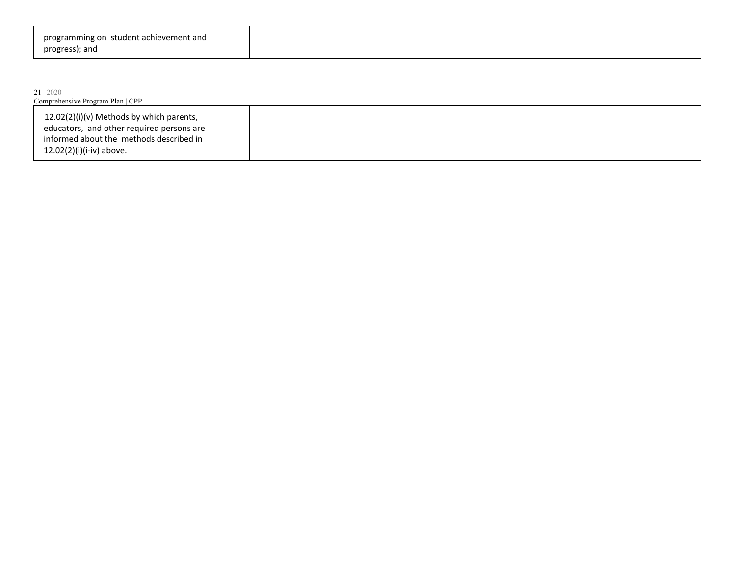| programming on student achievement and |  |
|----------------------------------------|--|
| progress); and                         |  |

#### 21 | 2020

| Comprehensive Program Plan   CPP                                                      |  |  |  |
|---------------------------------------------------------------------------------------|--|--|--|
| 12.02(2)(i)(v) Methods by which parents,<br>educators, and other required persons are |  |  |  |
| informed about the methods described in<br>12.02(2)(i)(i-iv) above.                   |  |  |  |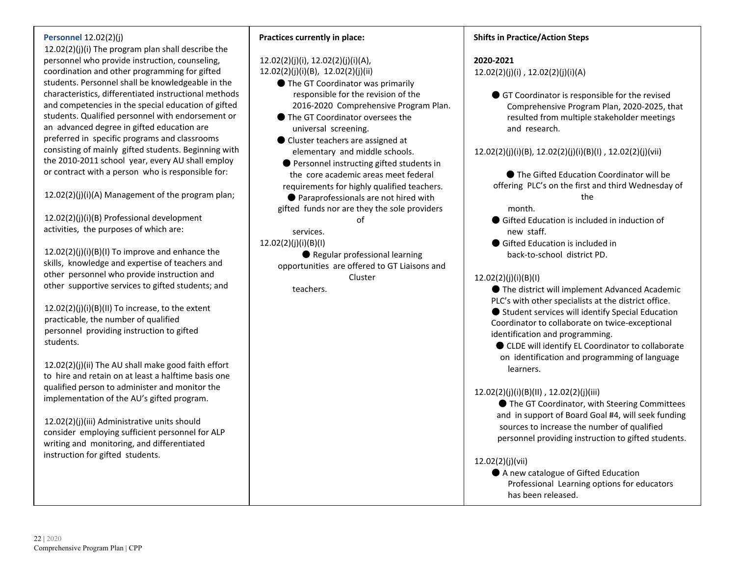#### **Personnel** 12.02(2)(j)

12.02(2)(j)(i) The program plan shall describe the personnel who provide instruction, counseling, coordination and other programming for gifted students. Personnel shall be knowledgeable in the characteristics, differentiated instructional methods and competencies in the special education of gifted students. Qualified personnel with endorsement or an advanced degree in gifted education are preferred in specific programs and classrooms consisting of mainly gifted students. Beginning with the 2010-2011 school year, every AU shall employ or contract with a person who is responsible for:

12.02(2)(j)(i)(A) Management of the program plan;

12.02(2)(j)(i)(B) Professional development activities, the purposes of which are:

12.02(2)(j)(i)(B)(I) To improve and enhance the skills, knowledge and expertise of teachers and other personnel who provide instruction and other supportive services to gifted students; and

 $12.02(2)(i)(i)(B)(II)$  To increase, to the extent practicable, the number of qualified personnel providing instruction to gifted students.

12.02(2)(j)(ii) The AU shall make good faith effort to hire and retain on at least a halftime basis one qualified person to administer and monitor the implementation of the AU's gifted program.

12.02(2)(j)(iii) Administrative units should consider employing sufficient personnel for ALP writing and monitoring, and differentiated instruction for gifted students.

#### **Practices currently in place:**

#### 12.02(2)(j)(i), 12.02(2)(j)(i)(A), 12.02(2)(j)(i)(B), 12.02(2)(j)(ii)

- The GT Coordinator was primarily responsible for the revision of the 2016-2020 Comprehensive Program Plan.
- The GT Coordinator oversees the universal screening.
- Cluster teachers are assigned at elementary and middle schools.
- Personnel instructing gifted students in the core academic areas meet federal requirements for highly qualified teachers.
- Paraprofessionals are not hired with gifted funds nor are they the sole providers of

#### 12.02(2)(j)(i)(B)(I)

services.

● Regular professional learning opportunities are offered to GT Liaisons and Cluster teachers.

#### **Shifts in Practice/Action Steps**

#### **2020-2021**

12.02(2)(j)(i) , 12.02(2)(j)(i)(A)

● GT Coordinator is responsible for the revised Comprehensive Program Plan, 2020-2025, that resulted from multiple stakeholder meetings and research.

#### 12.02(2)(j)(i)(B), 12.02(2)(j)(i)(B)(I) , 12.02(2)(j)(vii)

● The Gifted Education Coordinator will be offering PLC's on the first and third Wednesday of the

month.

- Gifted Education is included in induction of new staff.
- Gifted Education is included in back-to-school district PD.

#### 12.02(2)(j)(i)(B)(I)

● The district will implement Advanced Academic PLC's with other specialists at the district office.

● Student services will identify Special Education Coordinator to collaborate on twice-exceptional identification and programming.

● CLDE will identify EL Coordinator to collaborate on identification and programming of language learners.

#### 12.02(2)(j)(i)(B)(II) , 12.02(2)(j)(iii)

● The GT Coordinator, with Steering Committees and in support of Board Goal #4, will seek funding sources to increase the number of qualified personnel providing instruction to gifted students.

#### 12.02(2)(j)(vii)

● A new catalogue of Gifted Education Professional Learning options for educators has been released.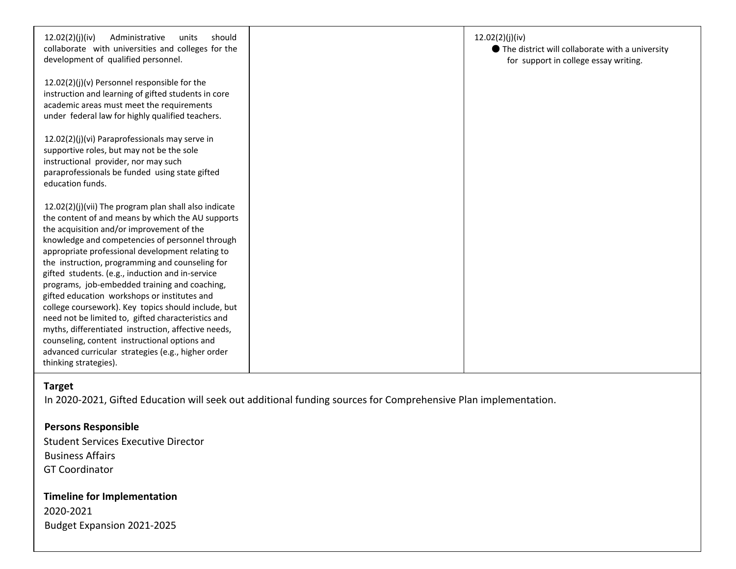| 12.02(2)(j)(iv)<br>Administrative<br>units<br>should<br>collaborate with universities and colleges for the<br>development of qualified personnel.                                                                                                                                                                                                                                                                                                                                                                                                                                                                                                                                                                                                                          | 12.02(2)(j)(iv)<br>● The district will collaborate with a university<br>for support in college essay writing. |
|----------------------------------------------------------------------------------------------------------------------------------------------------------------------------------------------------------------------------------------------------------------------------------------------------------------------------------------------------------------------------------------------------------------------------------------------------------------------------------------------------------------------------------------------------------------------------------------------------------------------------------------------------------------------------------------------------------------------------------------------------------------------------|---------------------------------------------------------------------------------------------------------------|
| 12.02(2)(j)(v) Personnel responsible for the<br>instruction and learning of gifted students in core<br>academic areas must meet the requirements<br>under federal law for highly qualified teachers.                                                                                                                                                                                                                                                                                                                                                                                                                                                                                                                                                                       |                                                                                                               |
| 12.02(2)(j)(vi) Paraprofessionals may serve in<br>supportive roles, but may not be the sole<br>instructional provider, nor may such<br>paraprofessionals be funded using state gifted<br>education funds.                                                                                                                                                                                                                                                                                                                                                                                                                                                                                                                                                                  |                                                                                                               |
| 12.02(2)(j)(vii) The program plan shall also indicate<br>the content of and means by which the AU supports<br>the acquisition and/or improvement of the<br>knowledge and competencies of personnel through<br>appropriate professional development relating to<br>the instruction, programming and counseling for<br>gifted students. (e.g., induction and in-service<br>programs, job-embedded training and coaching,<br>gifted education workshops or institutes and<br>college coursework). Key topics should include, but<br>need not be limited to, gifted characteristics and<br>myths, differentiated instruction, affective needs,<br>counseling, content instructional options and<br>advanced curricular strategies (e.g., higher order<br>thinking strategies). |                                                                                                               |

#### **Target**

In 2020-2021, Gifted Education will seek out additional funding sources for Comprehensive Plan implementation.

#### **Persons Responsible**

Student Services Executive Director Business Affairs GT Coordinator

### **Timeline for Implementation** 2020-2021 Budget Expansion 2021-2025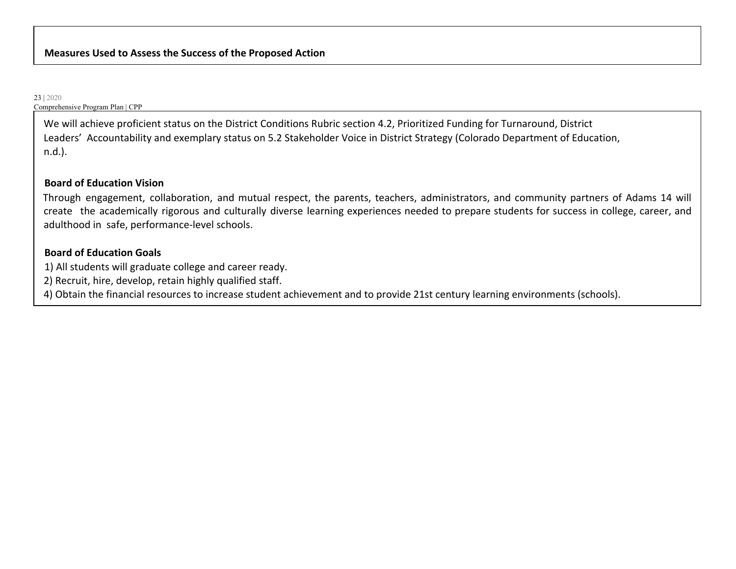We will achieve proficient status on the District Conditions Rubric section 4.2, Prioritized Funding for Turnaround, District Leaders' Accountability and exemplary status on 5.2 Stakeholder Voice in District Strategy (Colorado Department of Education, n.d.).

#### **Board of Education Vision**

Through engagement, collaboration, and mutual respect, the parents, teachers, administrators, and community partners of Adams 14 will create the academically rigorous and culturally diverse learning experiences needed to prepare students for success in college, career, and adulthood in safe, performance-level schools.

#### **Board of Education Goals**

1) All students will graduate college and career ready.

2) Recruit, hire, develop, retain highly qualified staff.

4) Obtain the financial resources to increase student achievement and to provide 21st century learning environments (schools).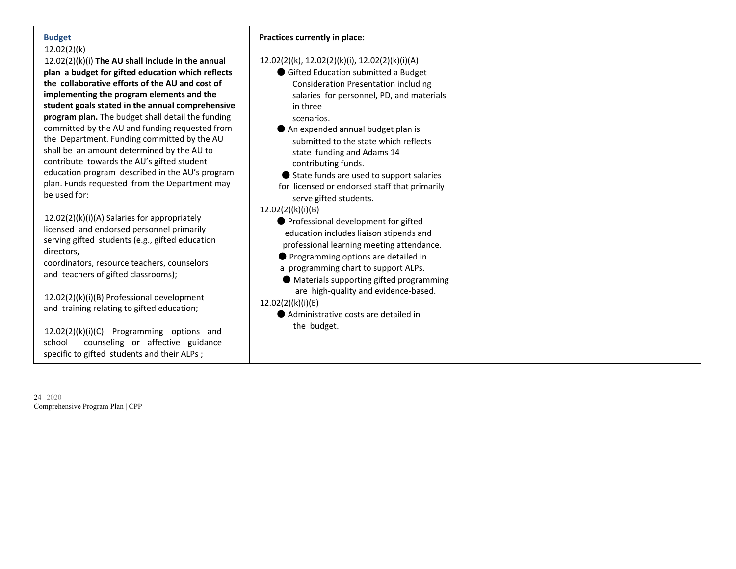#### **Budget** 12.02(2)(k)

12.02(2)(k)(i) **The AU shall include in the annual** plan a budget for gifted education which refle **the collaborative efforts of the AU and cost of implementing the program elements and the** student goals stated in the annual comprehens program plan. The budget shall detail the fundi committed by the AU and funding requested from the Department. Funding committed by the AU shall be an amount determined by the AU to contribute towards the AU's gifted student education program described in the AU's progr plan. Funds requested from the Department m be used for:

12.02(2)(k)(i)(A) Salaries for appropriately licensed and endorsed personnel primarily serving gifted students (e.g., gifted education directors,

coordinators, resource teachers, counselors and teachers of gifted classrooms);

12.02(2)(k)(i)(B) Professional development and training relating to gifted education;

12.02(2)(k)(i)(C) Programming options and school counseling or affective guidance specific to gifted students and their ALPs ;

**Practices currently in place:**

|       | Practices currently in place:                  |
|-------|------------------------------------------------|
| al    | 12.02(2)(k), 12.02(2)(k)(i), 12.02(2)(k)(i)(A) |
| ects  | Gifted Education submitted a Budget            |
| f     | <b>Consideration Presentation including</b>    |
|       | salaries for personnel, PD, and materials      |
| ısive | in three                                       |
| ling  | scenarios.                                     |
| rom   | An expended annual budget plan is              |
| U     | submitted to the state which reflects          |
|       | state funding and Adams 14                     |
|       | contributing funds.                            |
| ram:  | ● State funds are used to support salaries     |
| nay   | for licensed or endorsed staff that primarily  |
|       | serve gifted students.                         |
|       | 12.02(2)(k)(i)(B)                              |
|       | ● Professional development for gifted          |
|       | education includes liaison stipends and        |
|       | professional learning meeting attendance.      |
|       | Programming options are detailed in            |
|       | a programming chart to support ALPs.           |
|       | ● Materials supporting gifted programming      |
|       | are high-quality and evidence-based.           |
|       | 12.02(2)(k)(i)(E)                              |
|       | ● Administrative costs are detailed in         |
|       | the budget.                                    |
| e     |                                                |
|       |                                                |
|       |                                                |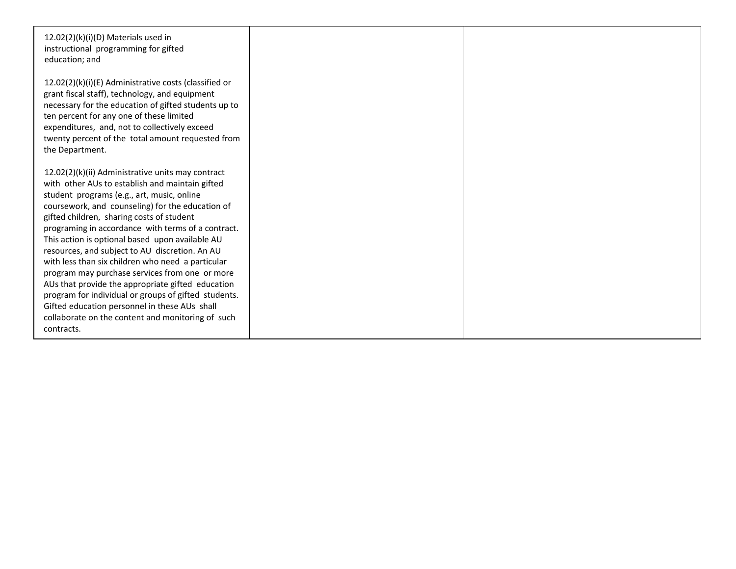| 12.02(2)(k)(i)(D) Materials used in<br>instructional programming for gifted<br>education; and                                                                                                                                                                                                                                                                                                                                                                                                                                                                                                                                                                                                                                                          |  |
|--------------------------------------------------------------------------------------------------------------------------------------------------------------------------------------------------------------------------------------------------------------------------------------------------------------------------------------------------------------------------------------------------------------------------------------------------------------------------------------------------------------------------------------------------------------------------------------------------------------------------------------------------------------------------------------------------------------------------------------------------------|--|
| 12.02(2)(k)(i)(E) Administrative costs (classified or<br>grant fiscal staff), technology, and equipment<br>necessary for the education of gifted students up to<br>ten percent for any one of these limited<br>expenditures, and, not to collectively exceed<br>twenty percent of the total amount requested from<br>the Department.                                                                                                                                                                                                                                                                                                                                                                                                                   |  |
| 12.02(2)(k)(ii) Administrative units may contract<br>with other AUs to establish and maintain gifted<br>student programs (e.g., art, music, online<br>coursework, and counseling) for the education of<br>gifted children, sharing costs of student<br>programing in accordance with terms of a contract.<br>This action is optional based upon available AU<br>resources, and subject to AU discretion. An AU<br>with less than six children who need a particular<br>program may purchase services from one or more<br>AUs that provide the appropriate gifted education<br>program for individual or groups of gifted students.<br>Gifted education personnel in these AUs shall<br>collaborate on the content and monitoring of such<br>contracts. |  |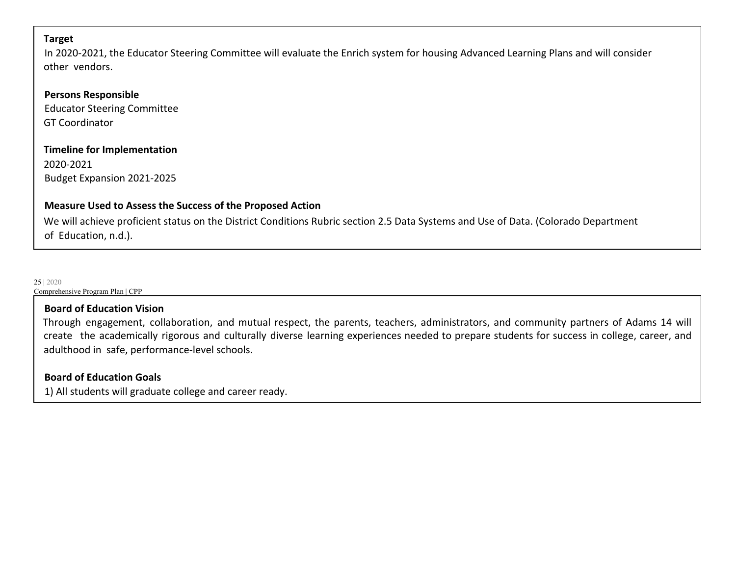#### **Target**

In 2020-2021, the Educator Steering Committee will evaluate the Enrich system for housing Advanced Learning Plans and will consider other vendors.

#### **Persons Responsible**

Educator Steering Committee GT Coordinator

#### **Timeline for Implementation**

2020-2021 Budget Expansion 2021-2025

#### **Measure Used to Assess the Success of the Proposed Action**

We will achieve proficient status on the District Conditions Rubric section 2.5 Data Systems and Use of Data. (Colorado Department of Education, n.d.).

25 | 2020

Comprehensive Program Plan | CPP

#### **Board of Education Vision**

Through engagement, collaboration, and mutual respect, the parents, teachers, administrators, and community partners of Adams 14 will create the academically rigorous and culturally diverse learning experiences needed to prepare students for success in college, career, and adulthood in safe, performance-level schools.

#### **Board of Education Goals**

1) All students will graduate college and career ready.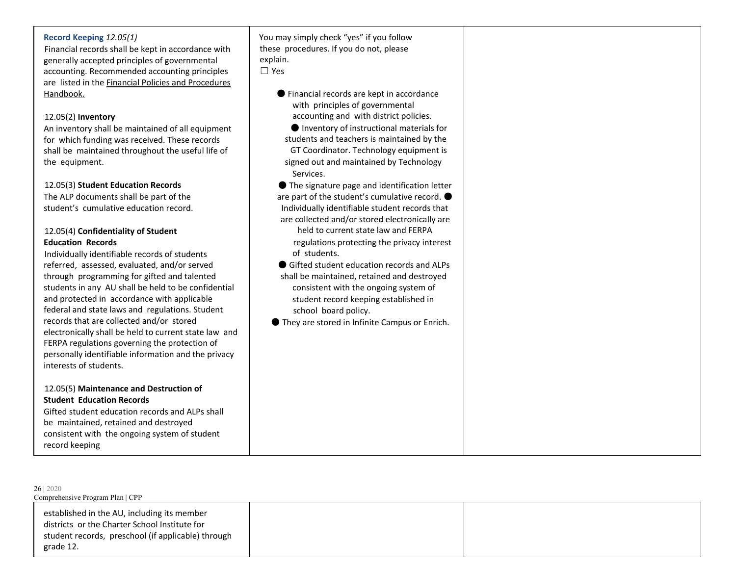#### **Record Keeping** *12.05(1)*

Financial records shall be kept in accordance with generally accepted principles of governmental accounting. Recommended accounting principles are listed in the Financial Policies and Procedures Handbook.

#### 12.05(2) **Inventory**

An inventory shall be maintained of all equipment for which funding was received. These records shall be maintained throughout the useful life of the equipment.

#### 12.05(3) **Student Education Records**

The ALP documents shall be part of the student's cumulative education record.

#### 12.05(4) **Confidentiality of Student Education Records**

Individually identifiable records of students referred, assessed, evaluated, and/or served through programming for gifted and talented students in any AU shall be held to be confidential and protected in accordance with applicable federal and state laws and regulations. Student records that are collected and/or stored electronically shall be held to current state law and FERPA regulations governing the protection of personally identifiable information and the privacy interests of students.

#### 12.05(5) **Maintenance and Destruction of Student Education Records**

Gifted student education records and ALPs shall be maintained, retained and destroyed consistent with the ongoing system of student record keeping

You may simply check "yes" if you follow these procedures. If you do not, please explain.

☐ Yes

- Financial records are kept in accordance with principles of governmental accounting and with district policies.
- Inventory of instructional materials for students and teachers is maintained by the GT Coordinator. Technology equipment is signed out and maintained by Technology Services.
- The signature page and identification letter are part of the student's cumulative record.  $\bullet$ Individually identifiable student records that are collected and/or stored electronically are held to current state law and FERPA

regulations protecting the privacy interest of students.

● Gifted student education records and ALPs shall be maintained, retained and destroyed consistent with the ongoing system of student record keeping established in school board policy.

● They are stored in Infinite Campus or Enrich.

Comprehensive Program Plan | CPP

26 | 2020

established in the AU, including its member districts or the Charter School Institute for student records, preschool (if applicable) through grade 12.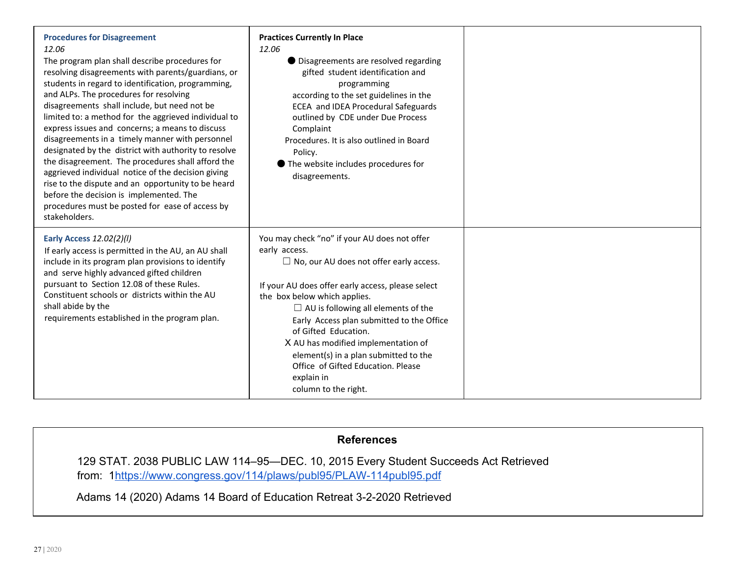| <b>Procedures for Disagreement</b><br>12.06<br>The program plan shall describe procedures for<br>resolving disagreements with parents/guardians, or<br>students in regard to identification, programming,<br>and ALPs. The procedures for resolving<br>disagreements shall include, but need not be<br>limited to: a method for the aggrieved individual to<br>express issues and concerns; a means to discuss<br>disagreements in a timely manner with personnel<br>designated by the district with authority to resolve<br>the disagreement. The procedures shall afford the<br>aggrieved individual notice of the decision giving<br>rise to the dispute and an opportunity to be heard<br>before the decision is implemented. The<br>procedures must be posted for ease of access by<br>stakeholders. | <b>Practices Currently In Place</b><br>12.06<br>● Disagreements are resolved regarding<br>gifted student identification and<br>programming<br>according to the set guidelines in the<br>ECEA and IDEA Procedural Safeguards<br>outlined by CDE under Due Process<br>Complaint<br>Procedures. It is also outlined in Board<br>Policy.<br>● The website includes procedures for<br>disagreements.                                                                                     |  |
|-----------------------------------------------------------------------------------------------------------------------------------------------------------------------------------------------------------------------------------------------------------------------------------------------------------------------------------------------------------------------------------------------------------------------------------------------------------------------------------------------------------------------------------------------------------------------------------------------------------------------------------------------------------------------------------------------------------------------------------------------------------------------------------------------------------|-------------------------------------------------------------------------------------------------------------------------------------------------------------------------------------------------------------------------------------------------------------------------------------------------------------------------------------------------------------------------------------------------------------------------------------------------------------------------------------|--|
| Early Access 12.02(2)(I)<br>If early access is permitted in the AU, an AU shall<br>include in its program plan provisions to identify<br>and serve highly advanced gifted children<br>pursuant to Section 12.08 of these Rules.<br>Constituent schools or districts within the AU<br>shall abide by the<br>requirements established in the program plan.                                                                                                                                                                                                                                                                                                                                                                                                                                                  | You may check "no" if your AU does not offer<br>early access.<br>$\Box$ No, our AU does not offer early access.<br>If your AU does offer early access, please select<br>the box below which applies.<br>$\Box$ AU is following all elements of the<br>Early Access plan submitted to the Office<br>of Gifted Education.<br>X AU has modified implementation of<br>element(s) in a plan submitted to the<br>Office of Gifted Education. Please<br>explain in<br>column to the right. |  |

#### **References**

129 STAT. 2038 PUBLIC LAW 114–95—DEC. 10, 2015 Every Student Succeeds Act Retrieved from: 1https://www.congress.gov/114/plaws/publ95/PLAW-114publ95.pdf

Adams 14 (2020) Adams 14 Board of Education Retreat 3-2-2020 Retrieved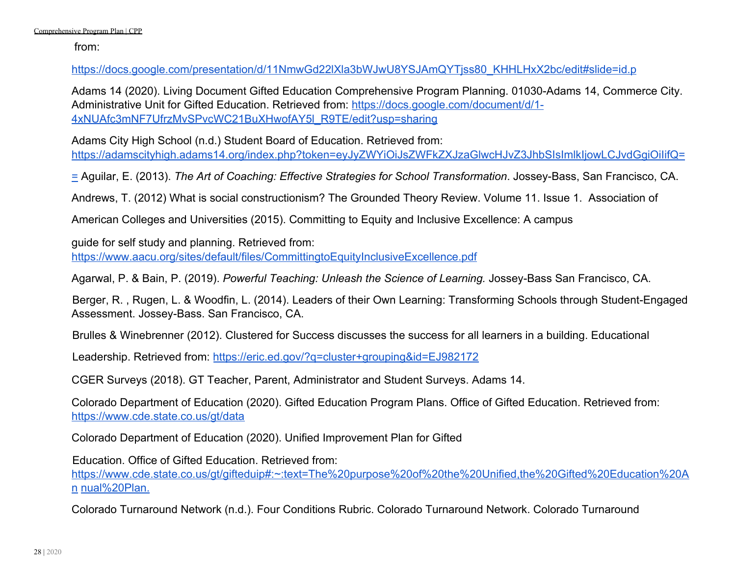from:

https://docs.google.com/presentation/d/11NmwGd22lXla3bWJwU8YSJAmQYTjss80\_KHHLHxX2bc/edit#slide=id.p

Adams 14 (2020). Living Document Gifted Education Comprehensive Program Planning. 01030-Adams 14, Commerce City. Administrative Unit for Gifted Education. Retrieved from: https://docs.google.com/document/d/1- 4xNUAfc3mNF7UfrzMvSPvcWC21BuXHwofAY5l\_R9TE/edit?usp=sharing

Adams City High School (n.d.) Student Board of Education. Retrieved from: https://adamscityhigh.adams14.org/index.php?token=eyJyZWYiOiJsZWFkZXJzaGlwcHJvZ3JhbSIsImlkIjowLCJvdGgiOiIifQ=

= Aguilar, E. (2013). *The Art of Coaching: Effective Strategies for School Transformation*. Jossey-Bass, San Francisco, CA.

Andrews, T. (2012) What is social constructionism? The Grounded Theory Review. Volume 11. Issue 1. Association of

American Colleges and Universities (2015). Committing to Equity and Inclusive Excellence: A campus

guide for self study and planning. Retrieved from:

https://www.aacu.org/sites/default/files/CommittingtoEquityInclusiveExcellence.pdf

Agarwal, P. & Bain, P. (2019). *Powerful Teaching: Unleash the Science of Learning.* Jossey-Bass San Francisco, CA.

Berger, R. , Rugen, L. & Woodfin, L. (2014). Leaders of their Own Learning: Transforming Schools through Student-Engaged Assessment. Jossey-Bass. San Francisco, CA.

Brulles & Winebrenner (2012). Clustered for Success discusses the success for all learners in a building. Educational

Leadership. Retrieved from: https://eric.ed.gov/?q=cluster+grouping&id=EJ982172

CGER Surveys (2018). GT Teacher, Parent, Administrator and Student Surveys. Adams 14.

Colorado Department of Education (2020). Gifted Education Program Plans. Office of Gifted Education. Retrieved from: https://www.cde.state.co.us/gt/data

Colorado Department of Education (2020). Unified Improvement Plan for Gifted

Education. Office of Gifted Education. Retrieved from:

https://www.cde.state.co.us/gt/gifteduip#:~:text=The%20purpose%20of%20the%20Unified,the%20Gifted%20Education%20A n nual%20Plan.

Colorado Turnaround Network (n.d.). Four Conditions Rubric. Colorado Turnaround Network. Colorado Turnaround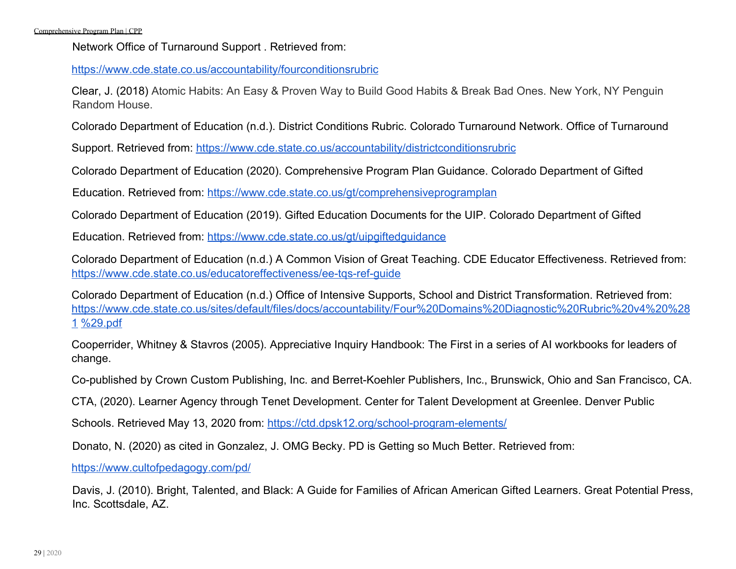Network Office of Turnaround Support . Retrieved from:

https://www.cde.state.co.us/accountability/fourconditionsrubric

Clear, J. (2018) Atomic Habits: An Easy & Proven Way to Build Good Habits & Break Bad Ones. New York, NY Penguin Random House.

Colorado Department of Education (n.d.). District Conditions Rubric. Colorado Turnaround Network. Office of Turnaround

Support. Retrieved from: https://www.cde.state.co.us/accountability/districtconditionsrubric

Colorado Department of Education (2020). Comprehensive Program Plan Guidance. Colorado Department of Gifted

Education. Retrieved from: https://www.cde.state.co.us/gt/comprehensiveprogramplan

Colorado Department of Education (2019). Gifted Education Documents for the UIP. Colorado Department of Gifted

Education. Retrieved from: https://www.cde.state.co.us/gt/uipgiftedguidance

Colorado Department of Education (n.d.) A Common Vision of Great Teaching. CDE Educator Effectiveness. Retrieved from: https://www.cde.state.co.us/educatoreffectiveness/ee-tqs-ref-guide

Colorado Department of Education (n.d.) Office of Intensive Supports, School and District Transformation. Retrieved from: https://www.cde.state.co.us/sites/default/files/docs/accountability/Four%20Domains%20Diagnostic%20Rubric%20v4%20%28 1 %29.pdf

Cooperrider, Whitney & Stavros (2005). Appreciative Inquiry Handbook: The First in a series of AI workbooks for leaders of change.

Co-published by Crown Custom Publishing, Inc. and Berret-Koehler Publishers, Inc., Brunswick, Ohio and San Francisco, CA.

CTA, (2020). Learner Agency through Tenet Development. Center for Talent Development at Greenlee. Denver Public

Schools. Retrieved May 13, 2020 from: https://ctd.dpsk12.org/school-program-elements/

Donato, N. (2020) as cited in Gonzalez, J. OMG Becky. PD is Getting so Much Better. Retrieved from:

https://www.cultofpedagogy.com/pd/

Davis, J. (2010). Bright, Talented, and Black: A Guide for Families of African American Gifted Learners. Great Potential Press, Inc. Scottsdale, AZ.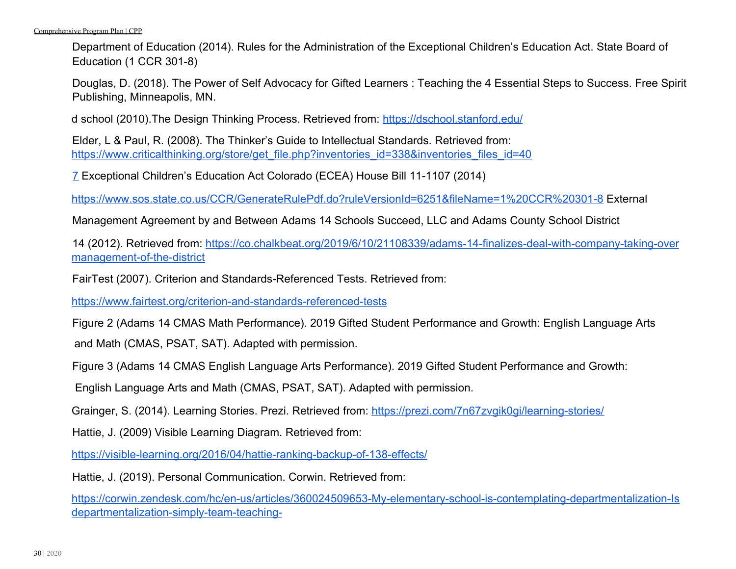Department of Education (2014). Rules for the Administration of the Exceptional Children's Education Act. State Board of Education (1 CCR 301-8)

Douglas, D. (2018). The Power of Self Advocacy for Gifted Learners : Teaching the 4 Essential Steps to Success. Free Spirit Publishing, Minneapolis, MN.

d school (2010).The Design Thinking Process. Retrieved from: https://dschool.stanford.edu/

Elder, L & Paul, R. (2008). The Thinker's Guide to Intellectual Standards. Retrieved from: https://www.criticalthinking.org/store/get\_file.php?inventories\_id=338&inventories\_files\_id=40

7 Exceptional Children's Education Act Colorado (ECEA) House Bill 11-1107 (2014)

https://www.sos.state.co.us/CCR/GenerateRulePdf.do?ruleVersionId=6251&fileName=1%20CCR%20301-8 External

Management Agreement by and Between Adams 14 Schools Succeed, LLC and Adams County School District

14 (2012). Retrieved from: https://co.chalkbeat.org/2019/6/10/21108339/adams-14-finalizes-deal-with-company-taking-over management-of-the-district

FairTest (2007). Criterion and Standards-Referenced Tests. Retrieved from:

https://www.fairtest.org/criterion-and-standards-referenced-tests

Figure 2 (Adams 14 CMAS Math Performance). 2019 Gifted Student Performance and Growth: English Language Arts

and Math (CMAS, PSAT, SAT). Adapted with permission.

Figure 3 (Adams 14 CMAS English Language Arts Performance). 2019 Gifted Student Performance and Growth:

English Language Arts and Math (CMAS, PSAT, SAT). Adapted with permission.

Grainger, S. (2014). Learning Stories. Prezi. Retrieved from: https://prezi.com/7n67zvgik0gi/learning-stories/

Hattie, J. (2009) Visible Learning Diagram. Retrieved from:

https://visible-learning.org/2016/04/hattie-ranking-backup-of-138-effects/

Hattie, J. (2019). Personal Communication. Corwin. Retrieved from:

https://corwin.zendesk.com/hc/en-us/articles/360024509653-My-elementary-school-is-contemplating-departmentalization-Is departmentalization-simply-team-teaching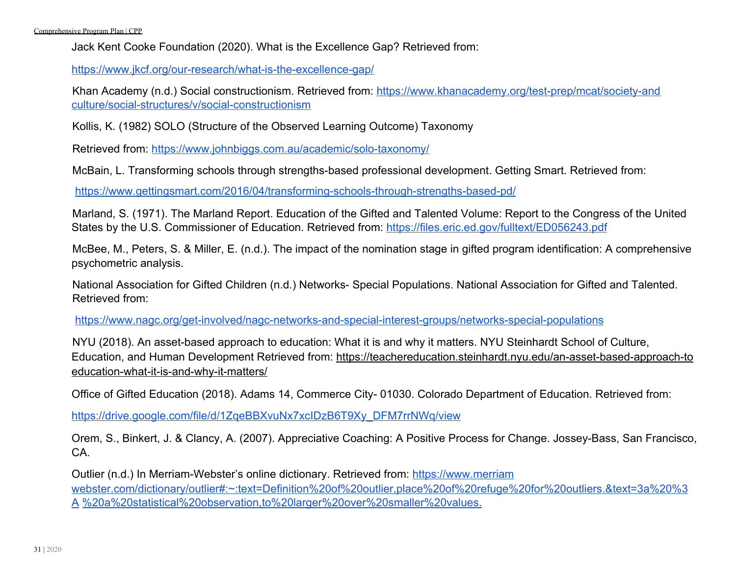Jack Kent Cooke Foundation (2020). What is the Excellence Gap? Retrieved from:

https://www.jkcf.org/our-research/what-is-the-excellence-gap/

Khan Academy (n.d.) Social constructionism. Retrieved from: https://www.khanacademy.org/test-prep/mcat/society-and culture/social-structures/v/social-constructionism

Kollis, K. (1982) SOLO (Structure of the Observed Learning Outcome) Taxonomy

Retrieved from: https://www.johnbiggs.com.au/academic/solo-taxonomy/

McBain, L. Transforming schools through strengths-based professional development. Getting Smart. Retrieved from:

https://www.gettingsmart.com/2016/04/transforming-schools-through-strengths-based-pd/

Marland, S. (1971). The Marland Report. Education of the Gifted and Talented Volume: Report to the Congress of the United States by the U.S. Commissioner of Education. Retrieved from: https://files.eric.ed.gov/fulltext/ED056243.pdf

McBee, M., Peters, S. & Miller, E. (n.d.). The impact of the nomination stage in gifted program identification: A comprehensive psychometric analysis.

National Association for Gifted Children (n.d.) Networks- Special Populations. National Association for Gifted and Talented. Retrieved from:

https://www.nagc.org/get-involved/nagc-networks-and-special-interest-groups/networks-special-populations

NYU (2018). An asset-based approach to education: What it is and why it matters. NYU Steinhardt School of Culture, Education, and Human Development Retrieved from: https://teachereducation.steinhardt.nyu.edu/an-asset-based-approach-to education-what-it-is-and-why-it-matters/

Office of Gifted Education (2018). Adams 14, Commerce City- 01030. Colorado Department of Education. Retrieved from:

https://drive.google.com/file/d/1ZqeBBXvuNx7xcIDzB6T9Xy\_DFM7rrNWq/view

Orem, S., Binkert, J. & Clancy, A. (2007). Appreciative Coaching: A Positive Process for Change. Jossey-Bass, San Francisco, CA.

Outlier (n.d.) In Merriam-Webster's online dictionary. Retrieved from: https://www.merriam webster.com/dictionary/outlier#:~:text=Definition%20of%20outlier,place%20of%20refuge%20for%20outliers.&text=3a%20%3 A %20a%20statistical%20observation,to%20larger%20over%20smaller%20values.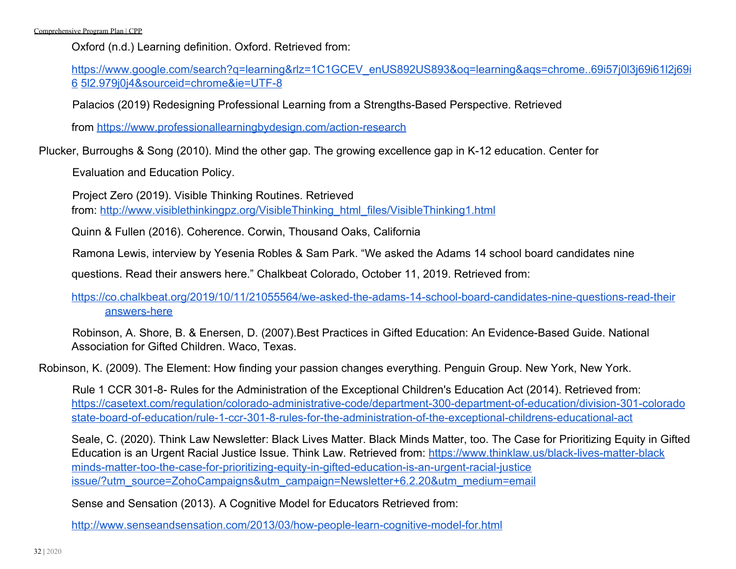Oxford (n.d.) Learning definition. Oxford. Retrieved from:

https://www.google.com/search?q=learning&rlz=1C1GCEV\_enUS892US893&oq=learning&ags=chrome..69i57j0l3j69i61l2j69i 6 5l2.979j0j4&sourceid=chrome&ie=UTF-8

Palacios (2019) Redesigning Professional Learning from a Strengths-Based Perspective. Retrieved

from https://www.professionallearningbydesign.com/action-research

Plucker, Burroughs & Song (2010). Mind the other gap. The growing excellence gap in K-12 education. Center for

Evaluation and Education Policy.

Project Zero (2019). Visible Thinking Routines. Retrieved

from: http://www.visiblethinkingpz.org/VisibleThinking\_html\_files/VisibleThinking1.html

Quinn & Fullen (2016). Coherence. Corwin, Thousand Oaks, California

Ramona Lewis, interview by Yesenia Robles & Sam Park. "We asked the Adams 14 school board candidates nine

questions. Read their answers here." Chalkbeat Colorado, October 11, 2019. Retrieved from:

https://co.chalkbeat.org/2019/10/11/21055564/we-asked-the-adams-14-school-board-candidates-nine-questions-read-their answers-here

Robinson, A. Shore, B. & Enersen, D. (2007).Best Practices in Gifted Education: An Evidence-Based Guide. National Association for Gifted Children. Waco, Texas.

Robinson, K. (2009). The Element: How finding your passion changes everything. Penguin Group. New York, New York.

Rule 1 CCR 301-8- Rules for the Administration of the Exceptional Children's Education Act (2014). Retrieved from: https://casetext.com/regulation/colorado-administrative-code/department-300-department-of-education/division-301-colorado state-board-of-education/rule-1-ccr-301-8-rules-for-the-administration-of-the-exceptional-childrens-educational-act

Seale, C. (2020). Think Law Newsletter: Black Lives Matter. Black Minds Matter, too. The Case for Prioritizing Equity in Gifted Education is an Urgent Racial Justice Issue. Think Law. Retrieved from: https://www.thinklaw.us/black-lives-matter-black minds-matter-too-the-case-for-prioritizing-equity-in-gifted-education-is-an-urgent-racial-justice issue/?utm\_source=ZohoCampaigns&utm\_campaign=Newsletter+6.2.20&utm\_medium=email

Sense and Sensation (2013). A Cognitive Model for Educators Retrieved from:

http://www.senseandsensation.com/2013/03/how-people-learn-cognitive-model-for.html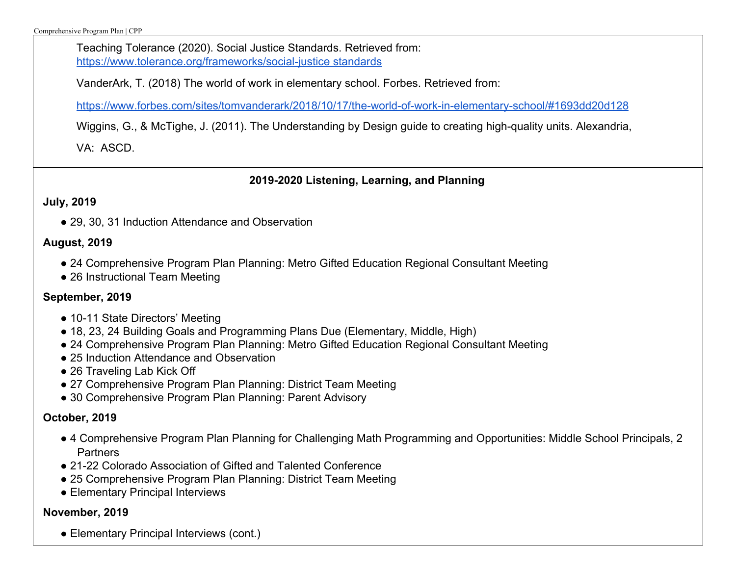Teaching Tolerance (2020). Social Justice Standards. Retrieved from: https://www.tolerance.org/frameworks/social-justice standards

VanderArk, T. (2018) The world of work in elementary school. Forbes. Retrieved from:

https://www.forbes.com/sites/tomvanderark/2018/10/17/the-world-of-work-in-elementary-school/#1693dd20d128

Wiggins, G., & McTighe, J. (2011). The Understanding by Design guide to creating high-quality units. Alexandria,

VA: ASCD.

### **2019-2020 Listening, Learning, and Planning**

### **July, 2019**

● 29, 30, 31 Induction Attendance and Observation

### **August, 2019**

- 24 Comprehensive Program Plan Planning: Metro Gifted Education Regional Consultant Meeting
- 26 Instructional Team Meeting

### **September, 2019**

- 10-11 State Directors' Meeting
- 18, 23, 24 Building Goals and Programming Plans Due (Elementary, Middle, High)
- 24 Comprehensive Program Plan Planning: Metro Gifted Education Regional Consultant Meeting
- 25 Induction Attendance and Observation
- 26 Traveling Lab Kick Off
- 27 Comprehensive Program Plan Planning: District Team Meeting
- 30 Comprehensive Program Plan Planning: Parent Advisory

### **October, 2019**

- 4 Comprehensive Program Plan Planning for Challenging Math Programming and Opportunities: Middle School Principals, 2 **Partners**
- 21-22 Colorado Association of Gifted and Talented Conference
- 25 Comprehensive Program Plan Planning: District Team Meeting
- Elementary Principal Interviews

### **November, 2019**

• Elementary Principal Interviews (cont.)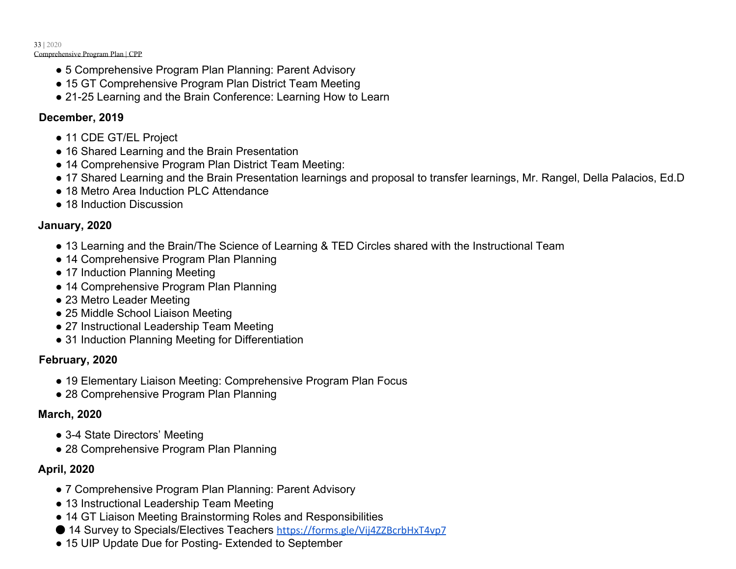- 5 Comprehensive Program Plan Planning: Parent Advisory
- 15 GT Comprehensive Program Plan District Team Meeting
- 21-25 Learning and the Brain Conference: Learning How to Learn

### **December, 2019**

- 11 CDE GT/EL Project
- 16 Shared Learning and the Brain Presentation
- 14 Comprehensive Program Plan District Team Meeting:
- 17 Shared Learning and the Brain Presentation learnings and proposal to transfer learnings, Mr. Rangel, Della Palacios, Ed.D
- 18 Metro Area Induction PLC Attendance
- 18 Induction Discussion

### **January, 2020**

- 13 Learning and the Brain/The Science of Learning & TED Circles shared with the Instructional Team
- 14 Comprehensive Program Plan Planning
- 17 Induction Planning Meeting
- 14 Comprehensive Program Plan Planning
- 23 Metro Leader Meeting
- 25 Middle School Liaison Meeting
- 27 Instructional Leadership Team Meeting
- 31 Induction Planning Meeting for Differentiation

### **February, 2020**

- 19 Elementary Liaison Meeting: Comprehensive Program Plan Focus
- 28 Comprehensive Program Plan Planning

### **March, 2020**

- 3-4 State Directors' Meeting
- 28 Comprehensive Program Plan Planning

### **April, 2020**

- 7 Comprehensive Program Plan Planning: Parent Advisory
- 13 Instructional Leadership Team Meeting
- 14 GT Liaison Meeting Brainstorming Roles and Responsibilities
- 14 Survey to Specials/Electives Teachers https://forms.gle/Vij4ZZBcrbHxT4vp7
- 15 UIP Update Due for Posting- Extended to September